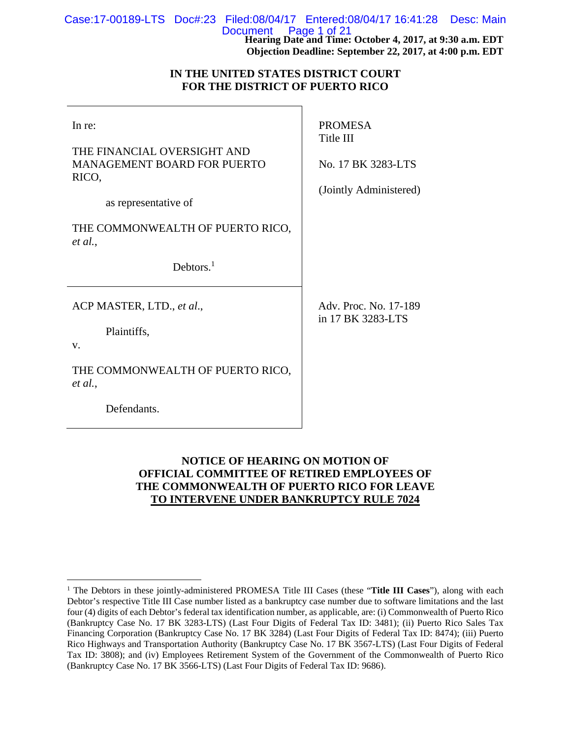| Case:17-00189-LTS Doc#:23 Filed:08/04/17 Entered:08/04/17 16:41:28 Desc: Main |  |                           |             |
|-------------------------------------------------------------------------------|--|---------------------------|-------------|
|                                                                               |  | Document Page $1$ of $21$ | <b>****</b> |

**Hearing Date and Time: October 4, 2017, at 9:30 a.m. EDT Objection Deadline: September 22, 2017, at 4:00 p.m. EDT** 

# **IN THE UNITED STATES DISTRICT COURT FOR THE DISTRICT OF PUERTO RICO**

| In re:<br>THE FINANCIAL OVERSIGHT AND<br><b>MANAGEMENT BOARD FOR PUERTO</b><br>RICO,<br>as representative of | <b>PROMESA</b><br>Title III<br>No. 17 BK 3283-LTS<br>(Jointly Administered) |
|--------------------------------------------------------------------------------------------------------------|-----------------------------------------------------------------------------|
| THE COMMONWEALTH OF PUERTO RICO,<br>et al.,<br>Debtors. $1$                                                  |                                                                             |
| ACP MASTER, LTD., et al.,<br>Plaintiffs,<br>V.                                                               | Adv. Proc. No. 17-189<br>in 17 BK 3283-LTS                                  |
| THE COMMONWEALTH OF PUERTO RICO,<br>et al.,<br>Defendants.                                                   |                                                                             |

# **NOTICE OF HEARING ON MOTION OF OFFICIAL COMMITTEE OF RETIRED EMPLOYEES OF THE COMMONWEALTH OF PUERTO RICO FOR LEAVE TO INTERVENE UNDER BANKRUPTCY RULE 7024**

 $\overline{a}$ 

<sup>&</sup>lt;sup>1</sup> The Debtors in these jointly-administered PROMESA Title III Cases (these "Title III Cases"), along with each Debtor's respective Title III Case number listed as a bankruptcy case number due to software limitations and the last four (4) digits of each Debtor's federal tax identification number, as applicable, are: (i) Commonwealth of Puerto Rico (Bankruptcy Case No. 17 BK 3283-LTS) (Last Four Digits of Federal Tax ID: 3481); (ii) Puerto Rico Sales Tax Financing Corporation (Bankruptcy Case No. 17 BK 3284) (Last Four Digits of Federal Tax ID: 8474); (iii) Puerto Rico Highways and Transportation Authority (Bankruptcy Case No. 17 BK 3567-LTS) (Last Four Digits of Federal Tax ID: 3808); and (iv) Employees Retirement System of the Government of the Commonwealth of Puerto Rico (Bankruptcy Case No. 17 BK 3566-LTS) (Last Four Digits of Federal Tax ID: 9686).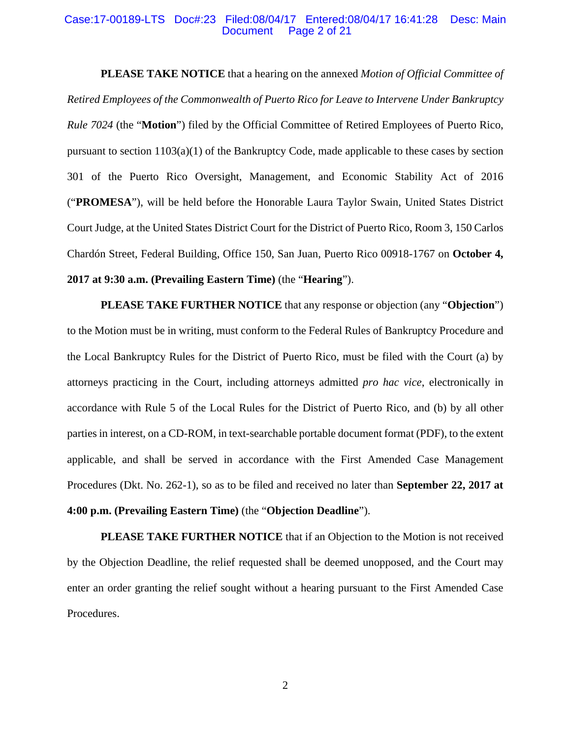#### Case:17-00189-LTS Doc#:23 Filed:08/04/17 Entered:08/04/17 16:41:28 Desc: Main Document Page 2 of 21

**PLEASE TAKE NOTICE** that a hearing on the annexed *Motion of Official Committee of Retired Employees of the Commonwealth of Puerto Rico for Leave to Intervene Under Bankruptcy Rule 7024* (the "**Motion**") filed by the Official Committee of Retired Employees of Puerto Rico, pursuant to section 1103(a)(1) of the Bankruptcy Code, made applicable to these cases by section 301 of the Puerto Rico Oversight, Management, and Economic Stability Act of 2016 ("**PROMESA**"), will be held before the Honorable Laura Taylor Swain, United States District Court Judge, at the United States District Court for the District of Puerto Rico, Room 3, 150 Carlos Chardón Street, Federal Building, Office 150, San Juan, Puerto Rico 00918-1767 on **October 4, 2017 at 9:30 a.m. (Prevailing Eastern Time)** (the "**Hearing**").

**PLEASE TAKE FURTHER NOTICE** that any response or objection (any "**Objection**") to the Motion must be in writing, must conform to the Federal Rules of Bankruptcy Procedure and the Local Bankruptcy Rules for the District of Puerto Rico, must be filed with the Court (a) by attorneys practicing in the Court, including attorneys admitted *pro hac vice*, electronically in accordance with Rule 5 of the Local Rules for the District of Puerto Rico, and (b) by all other parties in interest, on a CD-ROM, in text-searchable portable document format (PDF), to the extent applicable, and shall be served in accordance with the First Amended Case Management Procedures (Dkt. No. 262-1), so as to be filed and received no later than **September 22, 2017 at 4:00 p.m. (Prevailing Eastern Time)** (the "**Objection Deadline**").

**PLEASE TAKE FURTHER NOTICE** that if an Objection to the Motion is not received by the Objection Deadline, the relief requested shall be deemed unopposed, and the Court may enter an order granting the relief sought without a hearing pursuant to the First Amended Case Procedures.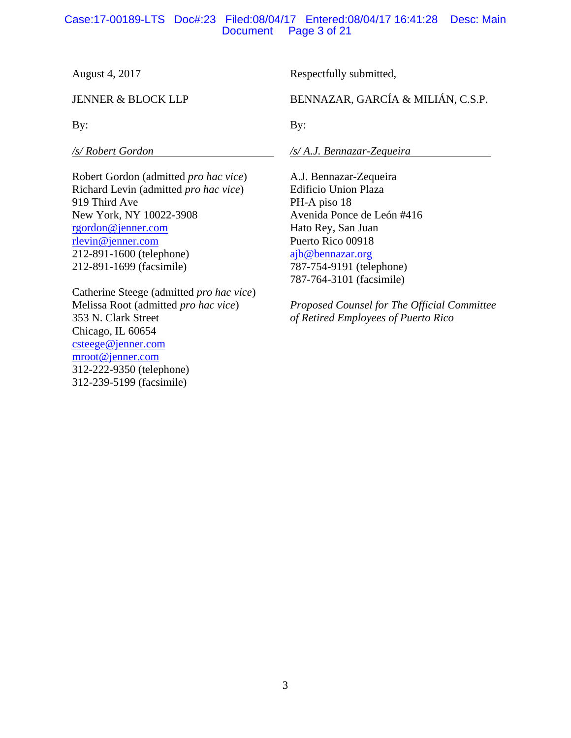# Case:17-00189-LTS Doc#:23 Filed:08/04/17 Entered:08/04/17 16:41:28 Desc: Main Page 3 of 21

August 4, 2017

JENNER & BLOCK LLP

By:

*/s/ Robert Gordon* 

Robert Gordon (admitted *pro hac vice*) Richard Levin (admitted *pro hac vice*) 919 Third Ave New York, NY 10022-3908 rgordon@jenner.com rlevin@jenner.com 212-891-1600 (telephone) 212-891-1699 (facsimile)

Catherine Steege (admitted *pro hac vice*) Melissa Root (admitted *pro hac vice*) 353 N. Clark Street Chicago, IL 60654 csteege@jenner.com mroot@jenner.com 312-222-9350 (telephone) 312-239-5199 (facsimile)

Respectfully submitted,

BENNAZAR, GARCÍA & MILIÁN, C.S.P.

By:

*/s/ A.J. Bennazar-Zequeira* 

A.J. Bennazar-Zequeira Edificio Union Plaza PH-A piso 18 Avenida Ponce de León #416 Hato Rey, San Juan Puerto Rico 00918 ajb@bennazar.org 787-754-9191 (telephone) 787-764-3101 (facsimile)

*Proposed Counsel for The Official Committee of Retired Employees of Puerto Rico*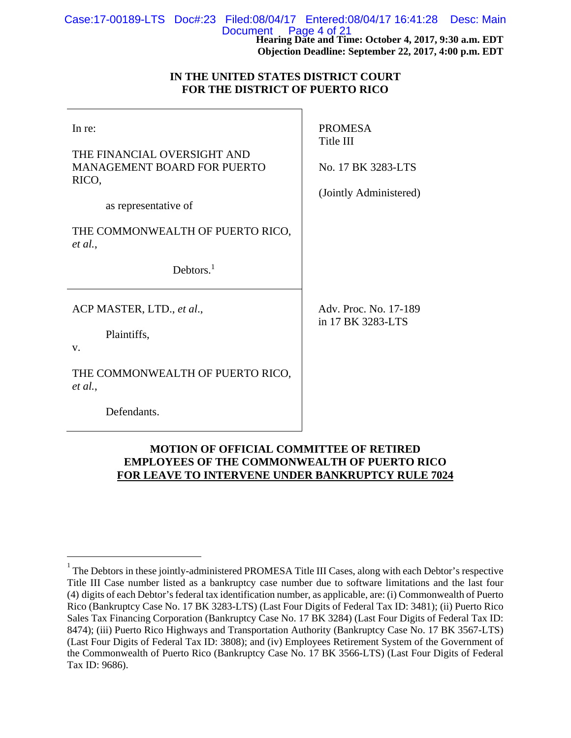| Case:17-00189-LTS Doc#:23 Filed:08/04/17 Entered:08/04/17 16:41:28 Desc: Main |  |                                                                                |  |
|-------------------------------------------------------------------------------|--|--------------------------------------------------------------------------------|--|
|                                                                               |  | Document Page 4 of 21<br>Hearing Date and Time: October 4, 2017, 9:30 a.m. EDT |  |
|                                                                               |  | Objection Deadline: September 22, 2017, 4:00 p.m. EDT                          |  |

## **IN THE UNITED STATES DISTRICT COURT FOR THE DISTRICT OF PUERTO RICO**

| In re:<br>THE FINANCIAL OVERSIGHT AND<br><b>MANAGEMENT BOARD FOR PUERTO</b><br>RICO,<br>as representative of | <b>PROMESA</b><br>Title III<br>No. 17 BK 3283-LTS<br>(Jointly Administered) |
|--------------------------------------------------------------------------------------------------------------|-----------------------------------------------------------------------------|
| THE COMMONWEALTH OF PUERTO RICO,<br>et al.,<br>Debtors. $1$                                                  |                                                                             |
| ACP MASTER, LTD., et al.,<br>Plaintiffs,<br>V.<br>THE COMMONWEALTH OF PUERTO RICO,                           | Adv. Proc. No. 17-189<br>in 17 BK 3283-LTS                                  |
| et al.,<br>Defendants.                                                                                       |                                                                             |

# **MOTION OF OFFICIAL COMMITTEE OF RETIRED EMPLOYEES OF THE COMMONWEALTH OF PUERTO RICO FOR LEAVE TO INTERVENE UNDER BANKRUPTCY RULE 7024**

 $\overline{a}$ 

 $1$  The Debtors in these jointly-administered PROMESA Title III Cases, along with each Debtor's respective Title III Case number listed as a bankruptcy case number due to software limitations and the last four (4) digits of each Debtor's federal tax identification number, as applicable, are: (i) Commonwealth of Puerto Rico (Bankruptcy Case No. 17 BK 3283-LTS) (Last Four Digits of Federal Tax ID: 3481); (ii) Puerto Rico Sales Tax Financing Corporation (Bankruptcy Case No. 17 BK 3284) (Last Four Digits of Federal Tax ID: 8474); (iii) Puerto Rico Highways and Transportation Authority (Bankruptcy Case No. 17 BK 3567-LTS) (Last Four Digits of Federal Tax ID: 3808); and (iv) Employees Retirement System of the Government of the Commonwealth of Puerto Rico (Bankruptcy Case No. 17 BK 3566-LTS) (Last Four Digits of Federal Tax ID: 9686).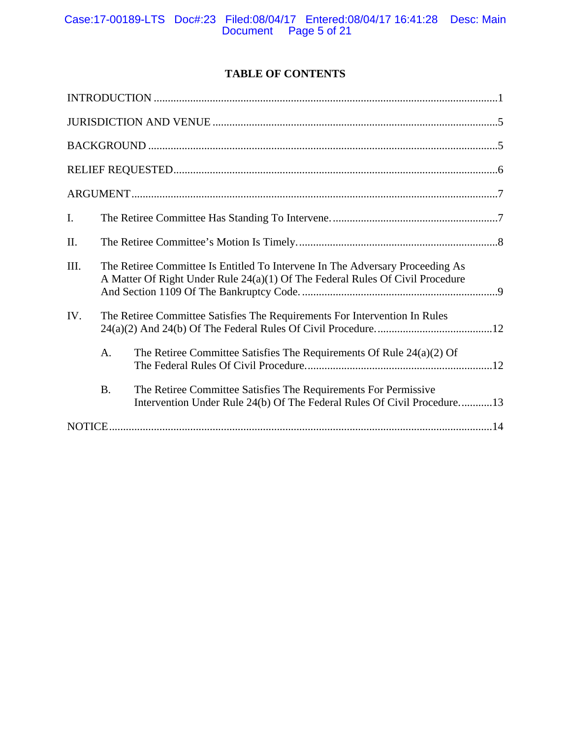# **TABLE OF CONTENTS**

| I.        |                                                                                                                                                                |  |  |
|-----------|----------------------------------------------------------------------------------------------------------------------------------------------------------------|--|--|
| II.       |                                                                                                                                                                |  |  |
| III.      | The Retiree Committee Is Entitled To Intervene In The Adversary Proceeding As<br>A Matter Of Right Under Rule 24(a)(1) Of The Federal Rules Of Civil Procedure |  |  |
| IV.       | The Retiree Committee Satisfies The Requirements For Intervention In Rules                                                                                     |  |  |
| A.        | The Retiree Committee Satisfies The Requirements Of Rule $24(a)(2)$ Of                                                                                         |  |  |
| <b>B.</b> | The Retiree Committee Satisfies The Requirements For Permissive<br>Intervention Under Rule 24(b) Of The Federal Rules Of Civil Procedure13                     |  |  |
|           |                                                                                                                                                                |  |  |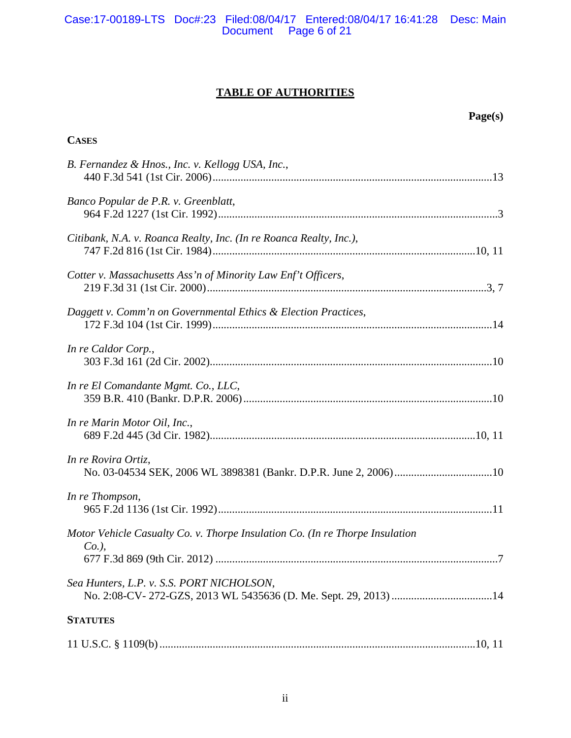# **TABLE OF AUTHORITIES**

# **Page(s)**

| <b>CASES</b>                                                                             |  |
|------------------------------------------------------------------------------------------|--|
| B. Fernandez & Hnos., Inc. v. Kellogg USA, Inc.,                                         |  |
| Banco Popular de P.R. v. Greenblatt,                                                     |  |
| Citibank, N.A. v. Roanca Realty, Inc. (In re Roanca Realty, Inc.),                       |  |
| Cotter v. Massachusetts Ass'n of Minority Law Enf't Officers,                            |  |
| Daggett v. Comm'n on Governmental Ethics & Election Practices,                           |  |
| In re Caldor Corp.,                                                                      |  |
| In re El Comandante Mgmt. Co., LLC,                                                      |  |
| In re Marin Motor Oil, Inc.,                                                             |  |
| In re Rovira Ortiz,                                                                      |  |
| In re Thompson,                                                                          |  |
| Motor Vehicle Casualty Co. v. Thorpe Insulation Co. (In re Thorpe Insulation<br>$Co.$ ), |  |
| Sea Hunters, L.P. v. S.S. PORT NICHOLSON,                                                |  |
| <b>STATUTES</b>                                                                          |  |
|                                                                                          |  |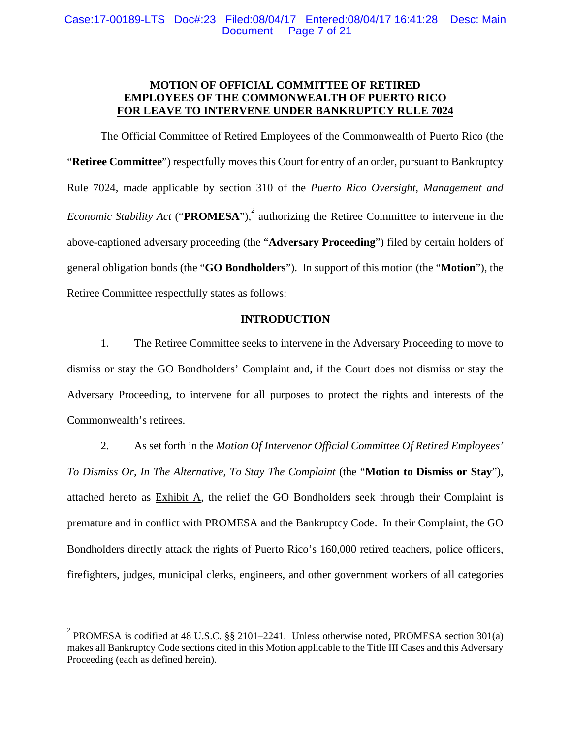# **MOTION OF OFFICIAL COMMITTEE OF RETIRED EMPLOYEES OF THE COMMONWEALTH OF PUERTO RICO FOR LEAVE TO INTERVENE UNDER BANKRUPTCY RULE 7024**

The Official Committee of Retired Employees of the Commonwealth of Puerto Rico (the "**Retiree Committee**") respectfully moves this Court for entry of an order, pursuant to Bankruptcy Rule 7024, made applicable by section 310 of the *Puerto Rico Oversight, Management and Economic Stability Act* ("**PROMESA**"),<sup>2</sup> authorizing the Retiree Committee to intervene in the above-captioned adversary proceeding (the "**Adversary Proceeding**") filed by certain holders of general obligation bonds (the "**GO Bondholders**"). In support of this motion (the "**Motion**"), the Retiree Committee respectfully states as follows:

# **INTRODUCTION**

1. The Retiree Committee seeks to intervene in the Adversary Proceeding to move to dismiss or stay the GO Bondholders' Complaint and, if the Court does not dismiss or stay the Adversary Proceeding, to intervene for all purposes to protect the rights and interests of the Commonwealth's retirees.

2. As set forth in the *Motion Of Intervenor Official Committee Of Retired Employees' To Dismiss Or, In The Alternative, To Stay The Complaint* (the "**Motion to Dismiss or Stay**"), attached hereto as Exhibit A, the relief the GO Bondholders seek through their Complaint is premature and in conflict with PROMESA and the Bankruptcy Code. In their Complaint, the GO Bondholders directly attack the rights of Puerto Rico's 160,000 retired teachers, police officers, firefighters, judges, municipal clerks, engineers, and other government workers of all categories

 $\overline{a}$ 

<sup>&</sup>lt;sup>2</sup> PROMESA is codified at 48 U.S.C. §§ 2101–2241. Unless otherwise noted, PROMESA section 301(a) makes all Bankruptcy Code sections cited in this Motion applicable to the Title III Cases and this Adversary Proceeding (each as defined herein).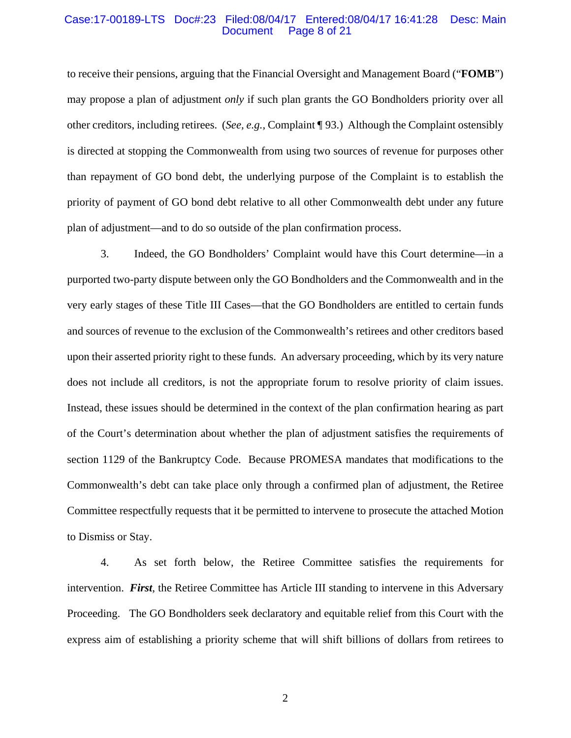#### Case:17-00189-LTS Doc#:23 Filed:08/04/17 Entered:08/04/17 16:41:28 Desc: Main Page 8 of 21

to receive their pensions, arguing that the Financial Oversight and Management Board ("**FOMB**") may propose a plan of adjustment *only* if such plan grants the GO Bondholders priority over all other creditors, including retirees. (*See, e.g.,* Complaint ¶ 93.) Although the Complaint ostensibly is directed at stopping the Commonwealth from using two sources of revenue for purposes other than repayment of GO bond debt, the underlying purpose of the Complaint is to establish the priority of payment of GO bond debt relative to all other Commonwealth debt under any future plan of adjustment—and to do so outside of the plan confirmation process.

3. Indeed, the GO Bondholders' Complaint would have this Court determine—in a purported two-party dispute between only the GO Bondholders and the Commonwealth and in the very early stages of these Title III Cases—that the GO Bondholders are entitled to certain funds and sources of revenue to the exclusion of the Commonwealth's retirees and other creditors based upon their asserted priority right to these funds. An adversary proceeding, which by its very nature does not include all creditors, is not the appropriate forum to resolve priority of claim issues. Instead, these issues should be determined in the context of the plan confirmation hearing as part of the Court's determination about whether the plan of adjustment satisfies the requirements of section 1129 of the Bankruptcy Code. Because PROMESA mandates that modifications to the Commonwealth's debt can take place only through a confirmed plan of adjustment, the Retiree Committee respectfully requests that it be permitted to intervene to prosecute the attached Motion to Dismiss or Stay.

4. As set forth below, the Retiree Committee satisfies the requirements for intervention. *First*, the Retiree Committee has Article III standing to intervene in this Adversary Proceeding. The GO Bondholders seek declaratory and equitable relief from this Court with the express aim of establishing a priority scheme that will shift billions of dollars from retirees to

2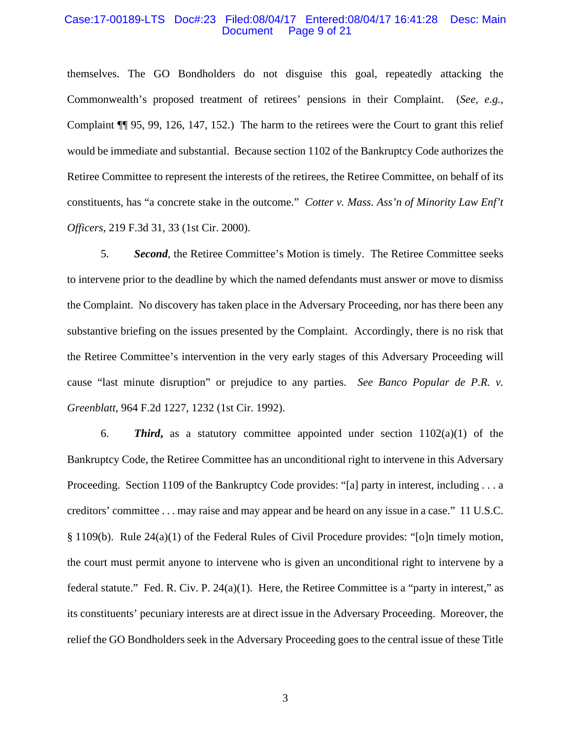#### Case:17-00189-LTS Doc#:23 Filed:08/04/17 Entered:08/04/17 16:41:28 Desc: Main Page 9 of 21

themselves. The GO Bondholders do not disguise this goal, repeatedly attacking the Commonwealth's proposed treatment of retirees' pensions in their Complaint. (*See, e.g.*, Complaint ¶¶ 95, 99, 126, 147, 152.) The harm to the retirees were the Court to grant this relief would be immediate and substantial. Because section 1102 of the Bankruptcy Code authorizes the Retiree Committee to represent the interests of the retirees, the Retiree Committee, on behalf of its constituents, has "a concrete stake in the outcome." *Cotter v. Mass. Ass'n of Minority Law Enf't Officers*, 219 F.3d 31, 33 (1st Cir. 2000).

5. *Second*, the Retiree Committee's Motion is timely. The Retiree Committee seeks to intervene prior to the deadline by which the named defendants must answer or move to dismiss the Complaint. No discovery has taken place in the Adversary Proceeding, nor has there been any substantive briefing on the issues presented by the Complaint. Accordingly, there is no risk that the Retiree Committee's intervention in the very early stages of this Adversary Proceeding will cause "last minute disruption" or prejudice to any parties. *See Banco Popular de P.R. v. Greenblatt*, 964 F.2d 1227, 1232 (1st Cir. 1992).

6. **Third,** as a statutory committee appointed under section  $1102(a)(1)$  of the Bankruptcy Code, the Retiree Committee has an unconditional right to intervene in this Adversary Proceeding. Section 1109 of the Bankruptcy Code provides: "[a] party in interest, including . . . a creditors' committee . . . may raise and may appear and be heard on any issue in a case." 11 U.S.C. § 1109(b). Rule 24(a)(1) of the Federal Rules of Civil Procedure provides: "[o]n timely motion, the court must permit anyone to intervene who is given an unconditional right to intervene by a federal statute." Fed. R. Civ. P. 24(a)(1). Here, the Retiree Committee is a "party in interest," as its constituents' pecuniary interests are at direct issue in the Adversary Proceeding. Moreover, the relief the GO Bondholders seek in the Adversary Proceeding goes to the central issue of these Title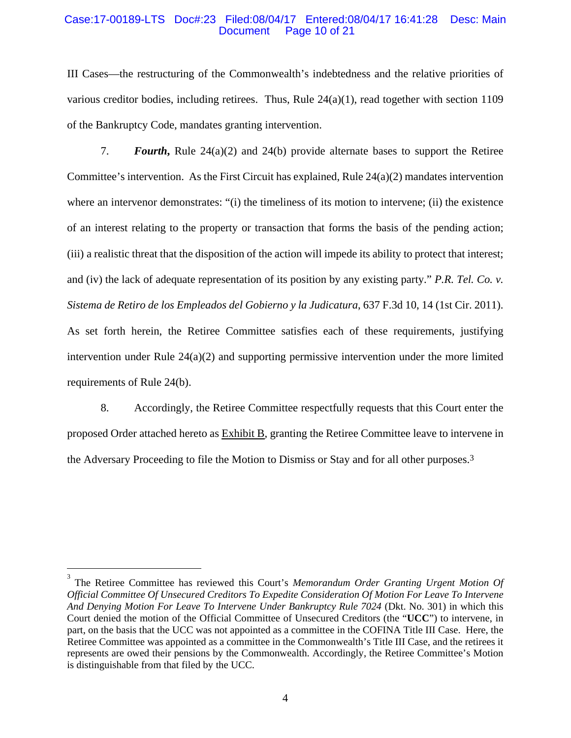#### Case:17-00189-LTS Doc#:23 Filed:08/04/17 Entered:08/04/17 16:41:28 Desc: Main Page 10 of 21

III Cases—the restructuring of the Commonwealth's indebtedness and the relative priorities of various creditor bodies, including retirees. Thus, Rule 24(a)(1), read together with section 1109 of the Bankruptcy Code, mandates granting intervention.

7. *Fourth***,** Rule 24(a)(2) and 24(b) provide alternate bases to support the Retiree Committee's intervention. As the First Circuit has explained, Rule  $24(a)(2)$  mandates intervention where an intervenor demonstrates: "(i) the timeliness of its motion to intervene; (ii) the existence of an interest relating to the property or transaction that forms the basis of the pending action; (iii) a realistic threat that the disposition of the action will impede its ability to protect that interest; and (iv) the lack of adequate representation of its position by any existing party." *P.R. Tel. Co. v. Sistema de Retiro de los Empleados del Gobierno y la Judicatura*, 637 F.3d 10, 14 (1st Cir. 2011). As set forth herein, the Retiree Committee satisfies each of these requirements, justifying intervention under Rule 24(a)(2) and supporting permissive intervention under the more limited requirements of Rule 24(b).

8. Accordingly, the Retiree Committee respectfully requests that this Court enter the proposed Order attached hereto as Exhibit B, granting the Retiree Committee leave to intervene in the Adversary Proceeding to file the Motion to Dismiss or Stay and for all other purposes.3

1

<sup>&</sup>lt;sup>3</sup> The Retiree Committee has reviewed this Court's *Memorandum Order Granting Urgent Motion Of Official Committee Of Unsecured Creditors To Expedite Consideration Of Motion For Leave To Intervene And Denying Motion For Leave To Intervene Under Bankruptcy Rule 7024* (Dkt. No. 301) in which this Court denied the motion of the Official Committee of Unsecured Creditors (the "**UCC**") to intervene, in part, on the basis that the UCC was not appointed as a committee in the COFINA Title III Case. Here, the Retiree Committee was appointed as a committee in the Commonwealth's Title III Case, and the retirees it represents are owed their pensions by the Commonwealth. Accordingly, the Retiree Committee's Motion is distinguishable from that filed by the UCC.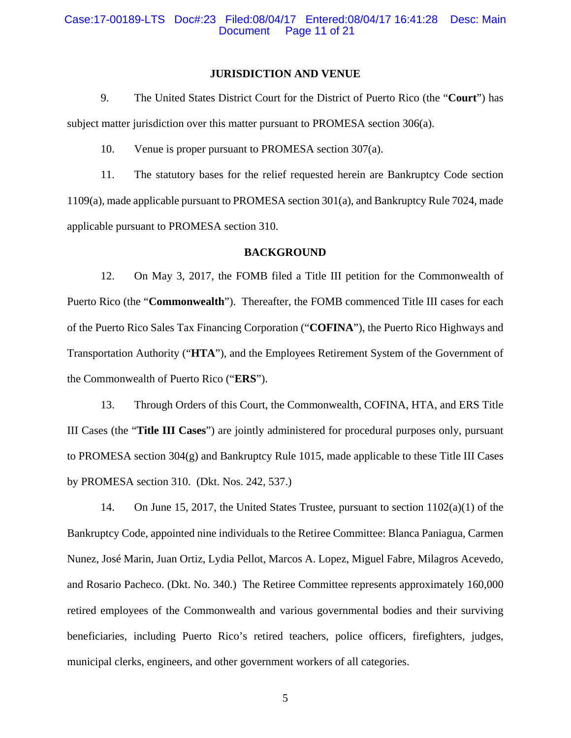#### **JURISDICTION AND VENUE**

9. The United States District Court for the District of Puerto Rico (the "**Court**") has subject matter jurisdiction over this matter pursuant to PROMESA section 306(a).

10. Venue is proper pursuant to PROMESA section 307(a).

11. The statutory bases for the relief requested herein are Bankruptcy Code section 1109(a), made applicable pursuant to PROMESA section 301(a), and Bankruptcy Rule 7024, made applicable pursuant to PROMESA section 310.

#### **BACKGROUND**

12. On May 3, 2017, the FOMB filed a Title III petition for the Commonwealth of Puerto Rico (the "**Commonwealth**"). Thereafter, the FOMB commenced Title III cases for each of the Puerto Rico Sales Tax Financing Corporation ("**COFINA**"), the Puerto Rico Highways and Transportation Authority ("**HTA**"), and the Employees Retirement System of the Government of the Commonwealth of Puerto Rico ("**ERS**").

13. Through Orders of this Court, the Commonwealth, COFINA, HTA, and ERS Title III Cases (the "**Title III Cases**") are jointly administered for procedural purposes only, pursuant to PROMESA section 304(g) and Bankruptcy Rule 1015, made applicable to these Title III Cases by PROMESA section 310. (Dkt. Nos. 242, 537.)

14. On June 15, 2017, the United States Trustee, pursuant to section 1102(a)(1) of the Bankruptcy Code, appointed nine individuals to the Retiree Committee: Blanca Paniagua, Carmen Nunez, José Marin, Juan Ortiz, Lydia Pellot, Marcos A. Lopez, Miguel Fabre, Milagros Acevedo, and Rosario Pacheco. (Dkt. No. 340.) The Retiree Committee represents approximately 160,000 retired employees of the Commonwealth and various governmental bodies and their surviving beneficiaries, including Puerto Rico's retired teachers, police officers, firefighters, judges, municipal clerks, engineers, and other government workers of all categories.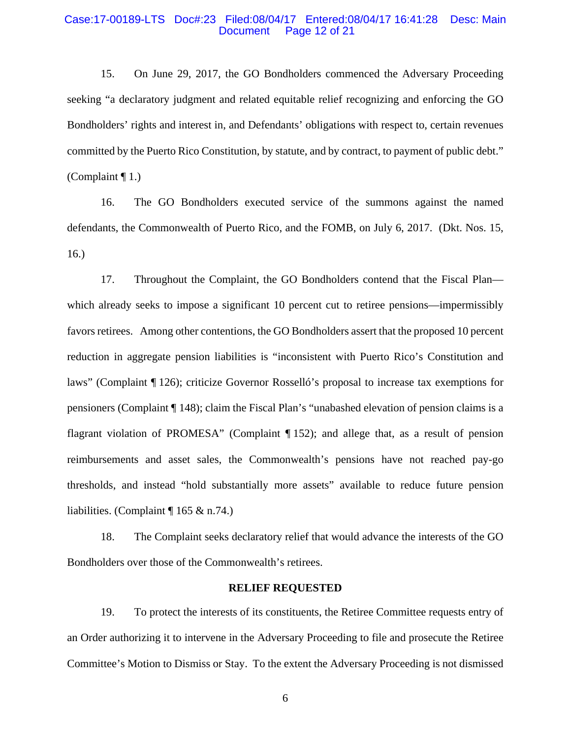#### Case:17-00189-LTS Doc#:23 Filed:08/04/17 Entered:08/04/17 16:41:28 Desc: Main Page 12 of 21

15. On June 29, 2017, the GO Bondholders commenced the Adversary Proceeding seeking "a declaratory judgment and related equitable relief recognizing and enforcing the GO Bondholders' rights and interest in, and Defendants' obligations with respect to, certain revenues committed by the Puerto Rico Constitution, by statute, and by contract, to payment of public debt." (Complaint ¶ 1.)

16. The GO Bondholders executed service of the summons against the named defendants, the Commonwealth of Puerto Rico, and the FOMB, on July 6, 2017. (Dkt. Nos. 15, 16.)

17. Throughout the Complaint, the GO Bondholders contend that the Fiscal Plan which already seeks to impose a significant 10 percent cut to retiree pensions—impermissibly favors retirees. Among other contentions, the GO Bondholders assert that the proposed 10 percent reduction in aggregate pension liabilities is "inconsistent with Puerto Rico's Constitution and laws" (Complaint ¶ 126); criticize Governor Rosselló's proposal to increase tax exemptions for pensioners (Complaint ¶ 148); claim the Fiscal Plan's "unabashed elevation of pension claims is a flagrant violation of PROMESA" (Complaint ¶ 152); and allege that, as a result of pension reimbursements and asset sales, the Commonwealth's pensions have not reached pay-go thresholds, and instead "hold substantially more assets" available to reduce future pension liabilities. (Complaint ¶ 165 & n.74.)

18. The Complaint seeks declaratory relief that would advance the interests of the GO Bondholders over those of the Commonwealth's retirees.

#### **RELIEF REQUESTED**

19. To protect the interests of its constituents, the Retiree Committee requests entry of an Order authorizing it to intervene in the Adversary Proceeding to file and prosecute the Retiree Committee's Motion to Dismiss or Stay. To the extent the Adversary Proceeding is not dismissed

6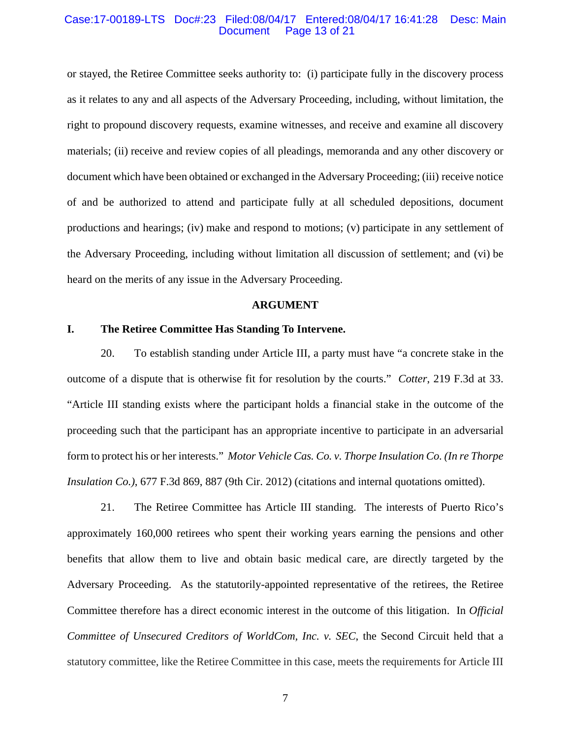#### Case:17-00189-LTS Doc#:23 Filed:08/04/17 Entered:08/04/17 16:41:28 Desc: Main Page 13 of 21

or stayed, the Retiree Committee seeks authority to: (i) participate fully in the discovery process as it relates to any and all aspects of the Adversary Proceeding, including, without limitation, the right to propound discovery requests, examine witnesses, and receive and examine all discovery materials; (ii) receive and review copies of all pleadings, memoranda and any other discovery or document which have been obtained or exchanged in the Adversary Proceeding; (iii) receive notice of and be authorized to attend and participate fully at all scheduled depositions, document productions and hearings; (iv) make and respond to motions; (v) participate in any settlement of the Adversary Proceeding, including without limitation all discussion of settlement; and (vi) be heard on the merits of any issue in the Adversary Proceeding.

#### **ARGUMENT**

### **I. The Retiree Committee Has Standing To Intervene.**

20. To establish standing under Article III, a party must have "a concrete stake in the outcome of a dispute that is otherwise fit for resolution by the courts." *Cotter*, 219 F.3d at 33. "Article III standing exists where the participant holds a financial stake in the outcome of the proceeding such that the participant has an appropriate incentive to participate in an adversarial form to protect his or her interests." *Motor Vehicle Cas. Co. v. Thorpe Insulation Co. (In re Thorpe Insulation Co.)*, 677 F.3d 869, 887 (9th Cir. 2012) (citations and internal quotations omitted).

21. The Retiree Committee has Article III standing. The interests of Puerto Rico's approximately 160,000 retirees who spent their working years earning the pensions and other benefits that allow them to live and obtain basic medical care, are directly targeted by the Adversary Proceeding. As the statutorily-appointed representative of the retirees, the Retiree Committee therefore has a direct economic interest in the outcome of this litigation. In *Official Committee of Unsecured Creditors of WorldCom, Inc. v. SEC*, the Second Circuit held that a statutory committee, like the Retiree Committee in this case, meets the requirements for Article III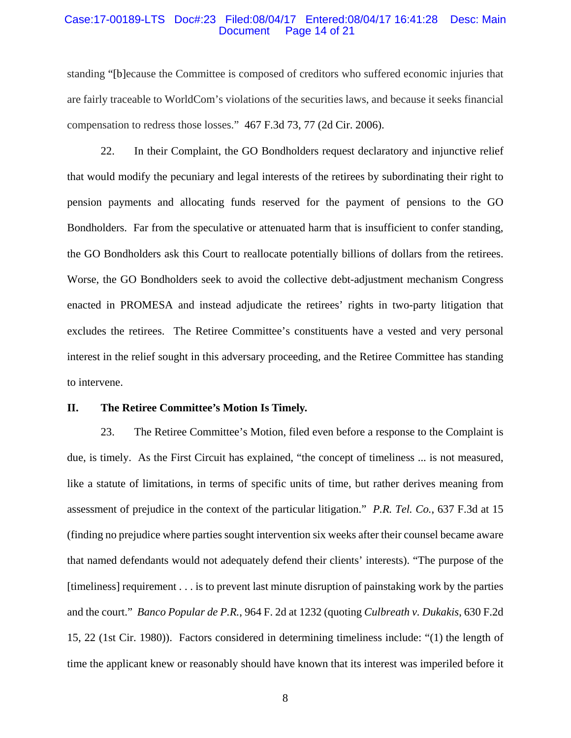#### Case:17-00189-LTS Doc#:23 Filed:08/04/17 Entered:08/04/17 16:41:28 Desc: Main Page 14 of 21

standing "[b]ecause the Committee is composed of creditors who suffered economic injuries that are fairly traceable to WorldCom's violations of the securities laws, and because it seeks financial compensation to redress those losses." 467 F.3d 73, 77 (2d Cir. 2006).

22. In their Complaint, the GO Bondholders request declaratory and injunctive relief that would modify the pecuniary and legal interests of the retirees by subordinating their right to pension payments and allocating funds reserved for the payment of pensions to the GO Bondholders. Far from the speculative or attenuated harm that is insufficient to confer standing, the GO Bondholders ask this Court to reallocate potentially billions of dollars from the retirees. Worse, the GO Bondholders seek to avoid the collective debt-adjustment mechanism Congress enacted in PROMESA and instead adjudicate the retirees' rights in two-party litigation that excludes the retirees. The Retiree Committee's constituents have a vested and very personal interest in the relief sought in this adversary proceeding, and the Retiree Committee has standing to intervene.

#### **II. The Retiree Committee's Motion Is Timely.**

23. The Retiree Committee's Motion, filed even before a response to the Complaint is due, is timely. As the First Circuit has explained, "the concept of timeliness ... is not measured, like a statute of limitations, in terms of specific units of time, but rather derives meaning from assessment of prejudice in the context of the particular litigation." *P.R. Tel. Co.*, 637 F.3d at 15 (finding no prejudice where parties sought intervention six weeks after their counsel became aware that named defendants would not adequately defend their clients' interests). "The purpose of the [timeliness] requirement . . . is to prevent last minute disruption of painstaking work by the parties and the court." *Banco Popular de P.R.*, 964 F. 2d at 1232 (quoting *Culbreath v. Dukakis*, 630 F.2d 15, 22 (1st Cir. 1980)). Factors considered in determining timeliness include: "(1) the length of time the applicant knew or reasonably should have known that its interest was imperiled before it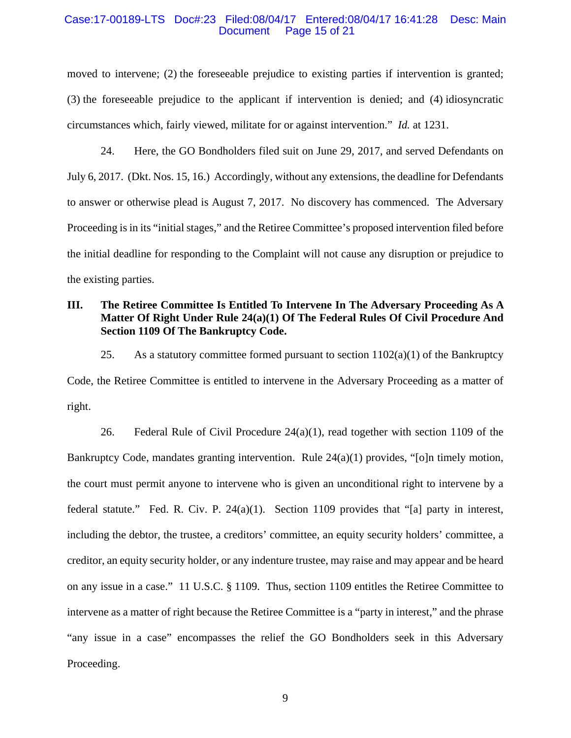#### Case:17-00189-LTS Doc#:23 Filed:08/04/17 Entered:08/04/17 16:41:28 Desc: Main Page 15 of 21

moved to intervene; (2) the foreseeable prejudice to existing parties if intervention is granted; (3) the foreseeable prejudice to the applicant if intervention is denied; and (4) idiosyncratic circumstances which, fairly viewed, militate for or against intervention." *Id.* at 1231.

24. Here, the GO Bondholders filed suit on June 29, 2017, and served Defendants on July 6, 2017. (Dkt. Nos. 15, 16.) Accordingly, without any extensions, the deadline for Defendants to answer or otherwise plead is August 7, 2017. No discovery has commenced. The Adversary Proceeding is in its "initial stages," and the Retiree Committee's proposed intervention filed before the initial deadline for responding to the Complaint will not cause any disruption or prejudice to the existing parties.

# **III. The Retiree Committee Is Entitled To Intervene In The Adversary Proceeding As A Matter Of Right Under Rule 24(a)(1) Of The Federal Rules Of Civil Procedure And Section 1109 Of The Bankruptcy Code.**

25. As a statutory committee formed pursuant to section  $1102(a)(1)$  of the Bankruptcy Code, the Retiree Committee is entitled to intervene in the Adversary Proceeding as a matter of right.

26. Federal Rule of Civil Procedure 24(a)(1), read together with section 1109 of the Bankruptcy Code, mandates granting intervention. Rule  $24(a)(1)$  provides, "[o]n timely motion, the court must permit anyone to intervene who is given an unconditional right to intervene by a federal statute." Fed. R. Civ. P.  $24(a)(1)$ . Section 1109 provides that "[a] party in interest, including the debtor, the trustee, a creditors' committee, an equity security holders' committee, a creditor, an equity security holder, or any indenture trustee, may raise and may appear and be heard on any issue in a case." 11 U.S.C. § 1109. Thus, section 1109 entitles the Retiree Committee to intervene as a matter of right because the Retiree Committee is a "party in interest," and the phrase "any issue in a case" encompasses the relief the GO Bondholders seek in this Adversary Proceeding.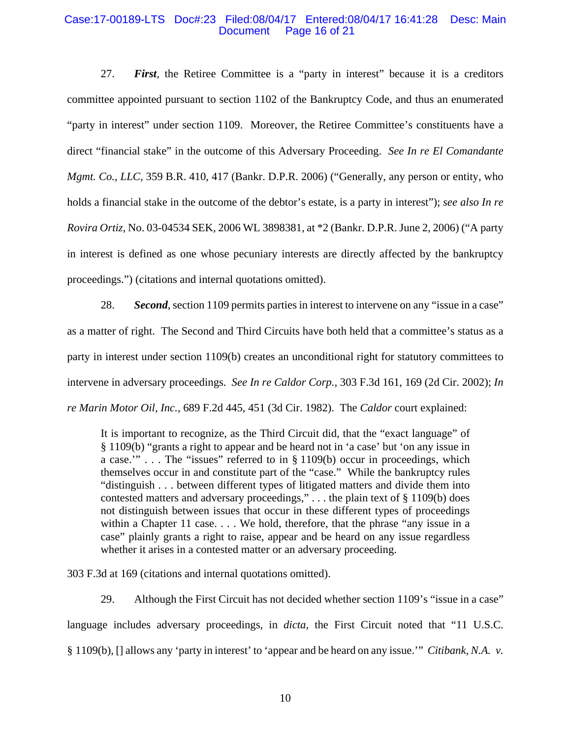#### Case:17-00189-LTS Doc#:23 Filed:08/04/17 Entered:08/04/17 16:41:28 Desc: Main Page 16 of 21

27. *First,* the Retiree Committee is a "party in interest" because it is a creditors committee appointed pursuant to section 1102 of the Bankruptcy Code, and thus an enumerated "party in interest" under section 1109. Moreover, the Retiree Committee's constituents have a direct "financial stake" in the outcome of this Adversary Proceeding. *See In re El Comandante Mgmt. Co., LLC,* 359 B.R. 410, 417 (Bankr. D.P.R. 2006) ("Generally, any person or entity, who holds a financial stake in the outcome of the debtor's estate, is a party in interest"); *see also In re Rovira Ortiz,* No. 03-04534 SEK, 2006 WL 3898381, at \*2 (Bankr. D.P.R. June 2, 2006) ("A party in interest is defined as one whose pecuniary interests are directly affected by the bankruptcy proceedings.") (citations and internal quotations omitted).

28. *Second*, section 1109 permits parties in interest to intervene on any "issue in a case" as a matter of right. The Second and Third Circuits have both held that a committee's status as a party in interest under section 1109(b) creates an unconditional right for statutory committees to intervene in adversary proceedings. *See In re Caldor Corp.*, 303 F.3d 161, 169 (2d Cir. 2002); *In re Marin Motor Oil, Inc.*, 689 F.2d 445, 451 (3d Cir. 1982). The *Caldor* court explained:

It is important to recognize, as the Third Circuit did, that the "exact language" of § 1109(b) "grants a right to appear and be heard not in 'a case' but 'on any issue in a case.'" . . . The "issues" referred to in § 1109(b) occur in proceedings, which themselves occur in and constitute part of the "case." While the bankruptcy rules "distinguish . . . between different types of litigated matters and divide them into contested matters and adversary proceedings," . . . the plain text of § 1109(b) does not distinguish between issues that occur in these different types of proceedings within a Chapter 11 case. . . . We hold, therefore, that the phrase "any issue in a case" plainly grants a right to raise, appear and be heard on any issue regardless whether it arises in a contested matter or an adversary proceeding.

303 F.3d at 169 (citations and internal quotations omitted).

29. Although the First Circuit has not decided whether section 1109's "issue in a case" language includes adversary proceedings, in *dicta*, the First Circuit noted that "11 U.S.C. § 1109(b), [] allows any 'party in interest' to 'appear and be heard on any issue.'" *Citibank, N.A. v.*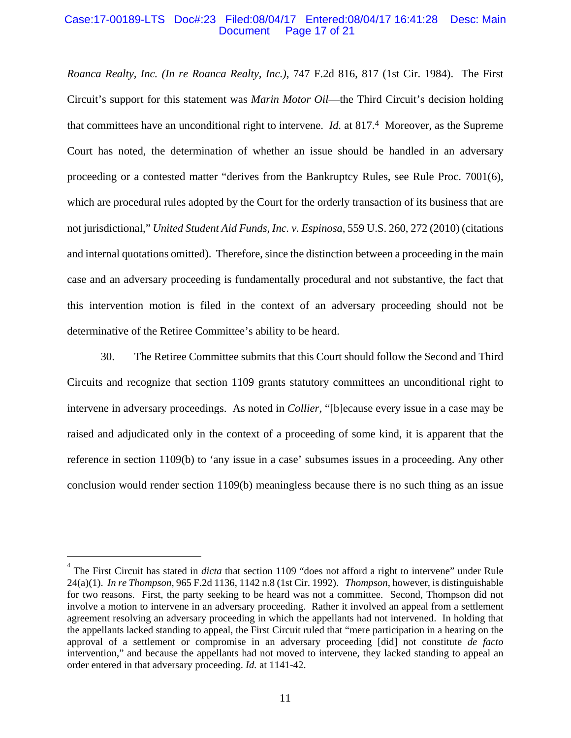#### Case:17-00189-LTS Doc#:23 Filed:08/04/17 Entered:08/04/17 16:41:28 Desc: Main Page 17 of 21

*Roanca Realty, Inc. (In re Roanca Realty, Inc.)*, 747 F.2d 816, 817 (1st Cir. 1984). The First Circuit's support for this statement was *Marin Motor Oil*—the Third Circuit's decision holding that committees have an unconditional right to intervene. *Id.* at 817.4 Moreover, as the Supreme Court has noted, the determination of whether an issue should be handled in an adversary proceeding or a contested matter "derives from the Bankruptcy Rules, see Rule Proc. 7001(6), which are procedural rules adopted by the Court for the orderly transaction of its business that are not jurisdictional," *United Student Aid Funds, Inc. v. Espinosa*, 559 U.S. 260, 272 (2010) (citations and internal quotations omitted). Therefore, since the distinction between a proceeding in the main case and an adversary proceeding is fundamentally procedural and not substantive, the fact that this intervention motion is filed in the context of an adversary proceeding should not be determinative of the Retiree Committee's ability to be heard.

30. The Retiree Committee submits that this Court should follow the Second and Third Circuits and recognize that section 1109 grants statutory committees an unconditional right to intervene in adversary proceedings. As noted in *Collier*, "[b]ecause every issue in a case may be raised and adjudicated only in the context of a proceeding of some kind, it is apparent that the reference in section 1109(b) to 'any issue in a case' subsumes issues in a proceeding. Any other conclusion would render section 1109(b) meaningless because there is no such thing as an issue

 $\overline{a}$ 

<sup>&</sup>lt;sup>4</sup> The First Circuit has stated in *dicta* that section 1109 "does not afford a right to intervene" under Rule 24(a)(1). *In re Thompson*, 965 F.2d 1136, 1142 n.8 (1st Cir. 1992). *Thompson*, however, is distinguishable for two reasons. First, the party seeking to be heard was not a committee. Second, Thompson did not involve a motion to intervene in an adversary proceeding. Rather it involved an appeal from a settlement agreement resolving an adversary proceeding in which the appellants had not intervened. In holding that the appellants lacked standing to appeal, the First Circuit ruled that "mere participation in a hearing on the approval of a settlement or compromise in an adversary proceeding [did] not constitute *de facto* intervention," and because the appellants had not moved to intervene, they lacked standing to appeal an order entered in that adversary proceeding. *Id.* at 1141-42.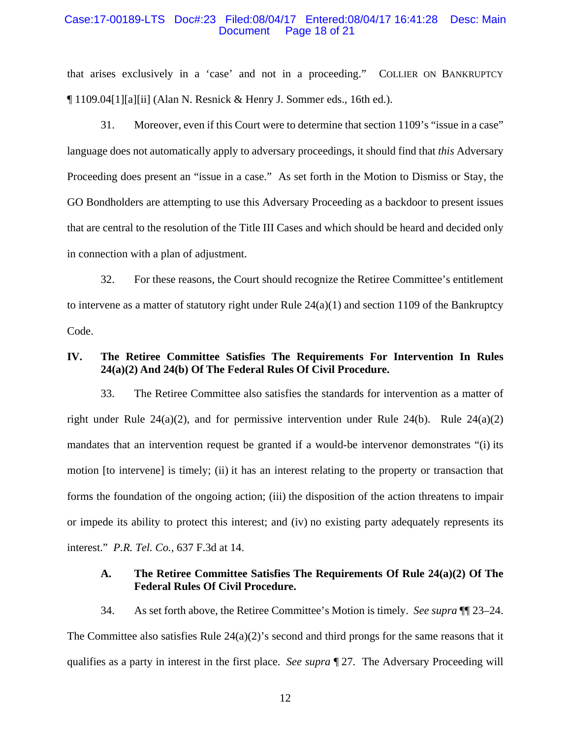#### Case:17-00189-LTS Doc#:23 Filed:08/04/17 Entered:08/04/17 16:41:28 Desc: Main Page 18 of 21

that arises exclusively in a 'case' and not in a proceeding." COLLIER ON BANKRUPTCY ¶ 1109.04[1][a][ii] (Alan N. Resnick & Henry J. Sommer eds., 16th ed.).

31. Moreover, even if this Court were to determine that section 1109's "issue in a case" language does not automatically apply to adversary proceedings, it should find that *this* Adversary Proceeding does present an "issue in a case." As set forth in the Motion to Dismiss or Stay, the GO Bondholders are attempting to use this Adversary Proceeding as a backdoor to present issues that are central to the resolution of the Title III Cases and which should be heard and decided only in connection with a plan of adjustment.

32. For these reasons, the Court should recognize the Retiree Committee's entitlement to intervene as a matter of statutory right under Rule  $24(a)(1)$  and section 1109 of the Bankruptcy Code.

# **IV. The Retiree Committee Satisfies The Requirements For Intervention In Rules 24(a)(2) And 24(b) Of The Federal Rules Of Civil Procedure.**

33. The Retiree Committee also satisfies the standards for intervention as a matter of right under Rule  $24(a)(2)$ , and for permissive intervention under Rule  $24(b)$ . Rule  $24(a)(2)$ mandates that an intervention request be granted if a would-be intervenor demonstrates "(i) its motion [to intervene] is timely; (ii) it has an interest relating to the property or transaction that forms the foundation of the ongoing action; (iii) the disposition of the action threatens to impair or impede its ability to protect this interest; and (iv) no existing party adequately represents its interest." *P.R. Tel. Co.*, 637 F.3d at 14.

## **A. The Retiree Committee Satisfies The Requirements Of Rule 24(a)(2) Of The Federal Rules Of Civil Procedure.**

34. As set forth above, the Retiree Committee's Motion is timely. *See supra* ¶¶ 23–24. The Committee also satisfies Rule  $24(a)(2)$ 's second and third prongs for the same reasons that it qualifies as a party in interest in the first place. *See supra* ¶ 27. The Adversary Proceeding will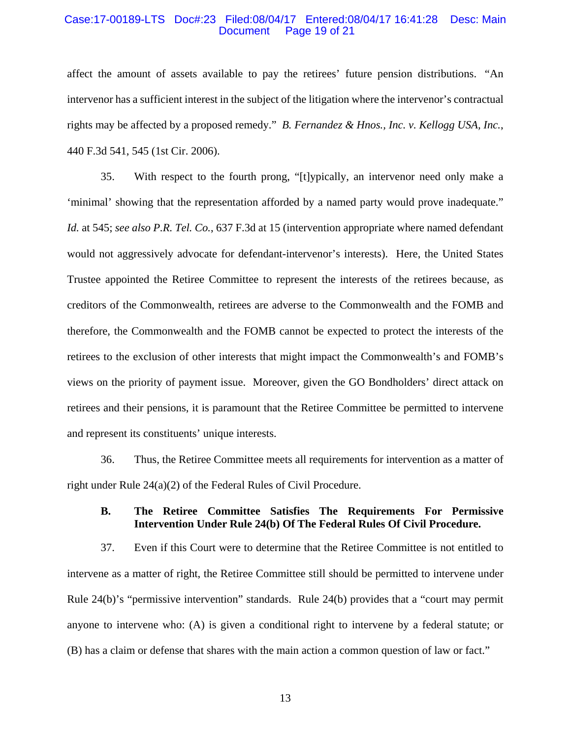#### Case:17-00189-LTS Doc#:23 Filed:08/04/17 Entered:08/04/17 16:41:28 Desc: Main Page 19 of 21

affect the amount of assets available to pay the retirees' future pension distributions. "An intervenor has a sufficient interest in the subject of the litigation where the intervenor's contractual rights may be affected by a proposed remedy." *B. Fernandez & Hnos., Inc. v. Kellogg USA, Inc.*, 440 F.3d 541, 545 (1st Cir. 2006).

35. With respect to the fourth prong, "[t]ypically, an intervenor need only make a 'minimal' showing that the representation afforded by a named party would prove inadequate." *Id.* at 545; *see also P.R. Tel. Co.*, 637 F.3d at 15 (intervention appropriate where named defendant would not aggressively advocate for defendant-intervenor's interests). Here, the United States Trustee appointed the Retiree Committee to represent the interests of the retirees because, as creditors of the Commonwealth, retirees are adverse to the Commonwealth and the FOMB and therefore, the Commonwealth and the FOMB cannot be expected to protect the interests of the retirees to the exclusion of other interests that might impact the Commonwealth's and FOMB's views on the priority of payment issue. Moreover, given the GO Bondholders' direct attack on retirees and their pensions, it is paramount that the Retiree Committee be permitted to intervene and represent its constituents' unique interests.

36. Thus, the Retiree Committee meets all requirements for intervention as a matter of right under Rule 24(a)(2) of the Federal Rules of Civil Procedure.

# **B. The Retiree Committee Satisfies The Requirements For Permissive Intervention Under Rule 24(b) Of The Federal Rules Of Civil Procedure.**

37. Even if this Court were to determine that the Retiree Committee is not entitled to intervene as a matter of right, the Retiree Committee still should be permitted to intervene under Rule 24(b)'s "permissive intervention" standards. Rule 24(b) provides that a "court may permit anyone to intervene who: (A) is given a conditional right to intervene by a federal statute; or (B) has a claim or defense that shares with the main action a common question of law or fact."

13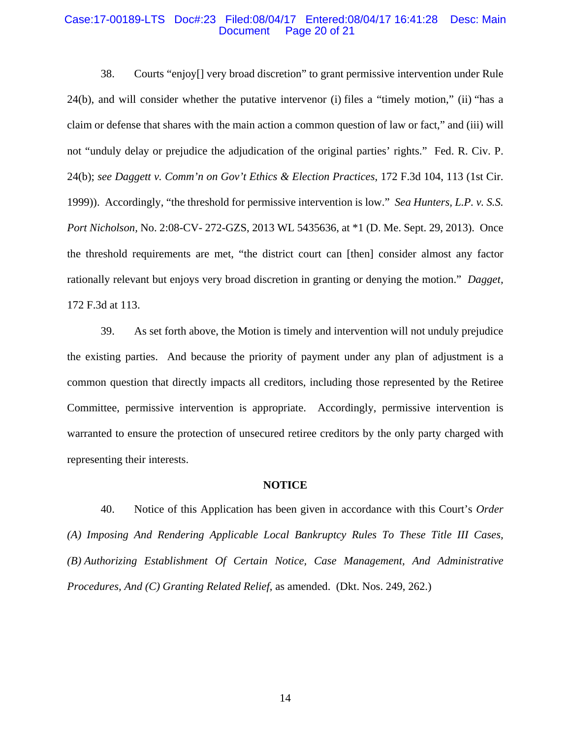#### Case:17-00189-LTS Doc#:23 Filed:08/04/17 Entered:08/04/17 16:41:28 Desc: Main Page 20 of 21

38. Courts "enjoy[] very broad discretion" to grant permissive intervention under Rule 24(b), and will consider whether the putative intervenor (i) files a "timely motion," (ii) "has a claim or defense that shares with the main action a common question of law or fact," and (iii) will not "unduly delay or prejudice the adjudication of the original parties' rights." Fed. R. Civ. P. 24(b); *see Daggett v. Comm'n on Gov't Ethics & Election Practices*, 172 F.3d 104, 113 (1st Cir. 1999)). Accordingly, "the threshold for permissive intervention is low." *Sea Hunters, L.P. v. S.S. Port Nicholson,* No. 2:08-CV- 272-GZS, 2013 WL 5435636, at \*1 (D. Me. Sept. 29, 2013). Once the threshold requirements are met, "the district court can [then] consider almost any factor rationally relevant but enjoys very broad discretion in granting or denying the motion." *Dagget,*  172 F.3d at 113.

39. As set forth above, the Motion is timely and intervention will not unduly prejudice the existing parties. And because the priority of payment under any plan of adjustment is a common question that directly impacts all creditors, including those represented by the Retiree Committee, permissive intervention is appropriate. Accordingly, permissive intervention is warranted to ensure the protection of unsecured retiree creditors by the only party charged with representing their interests.

#### **NOTICE**

40. Notice of this Application has been given in accordance with this Court's *Order (A) Imposing And Rendering Applicable Local Bankruptcy Rules To These Title III Cases, (B) Authorizing Establishment Of Certain Notice, Case Management, And Administrative Procedures, And (C) Granting Related Relief*, as amended. (Dkt. Nos. 249, 262.)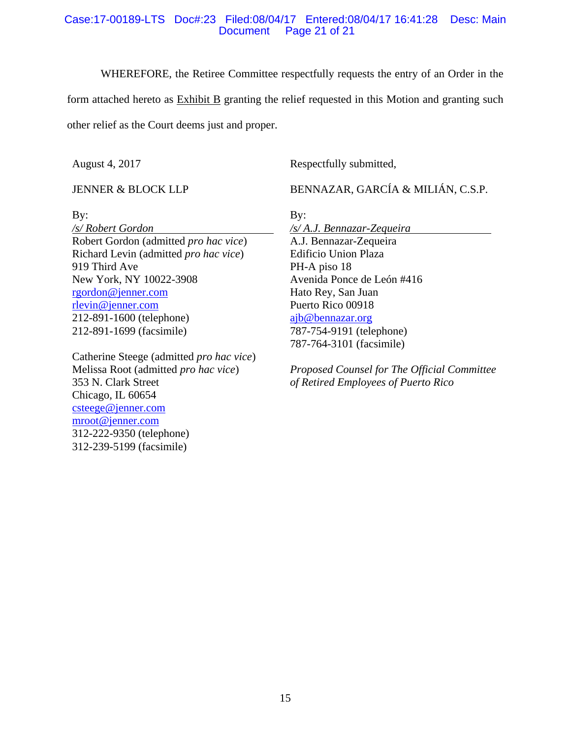### Case:17-00189-LTS Doc#:23 Filed:08/04/17 Entered:08/04/17 16:41:28 Desc: Main Page 21 of 21

WHEREFORE, the Retiree Committee respectfully requests the entry of an Order in the

form attached hereto as Exhibit B granting the relief requested in this Motion and granting such other relief as the Court deems just and proper.

By:

August 4, 2017

JENNER & BLOCK LLP

Respectfully submitted,

BENNAZAR, GARCÍA & MILIÁN, C.S.P.

By:

*/s/ Robert Gordon*  Robert Gordon (admitted *pro hac vice*) Richard Levin (admitted *pro hac vice*) 919 Third Ave New York, NY 10022-3908 rgordon@jenner.com rlevin@jenner.com 212-891-1600 (telephone) 212-891-1699 (facsimile)

Catherine Steege (admitted *pro hac vice*) Melissa Root (admitted *pro hac vice*) 353 N. Clark Street Chicago, IL 60654 csteege@jenner.com mroot@jenner.com 312-222-9350 (telephone) 312-239-5199 (facsimile)

*/s/ A.J. Bennazar-Zequeira*  A.J. Bennazar-Zequeira Edificio Union Plaza PH-A piso 18 Avenida Ponce de León #416 Hato Rey, San Juan Puerto Rico 00918 ajb@bennazar.org 787-754-9191 (telephone) 787-764-3101 (facsimile)

*Proposed Counsel for The Official Committee of Retired Employees of Puerto Rico*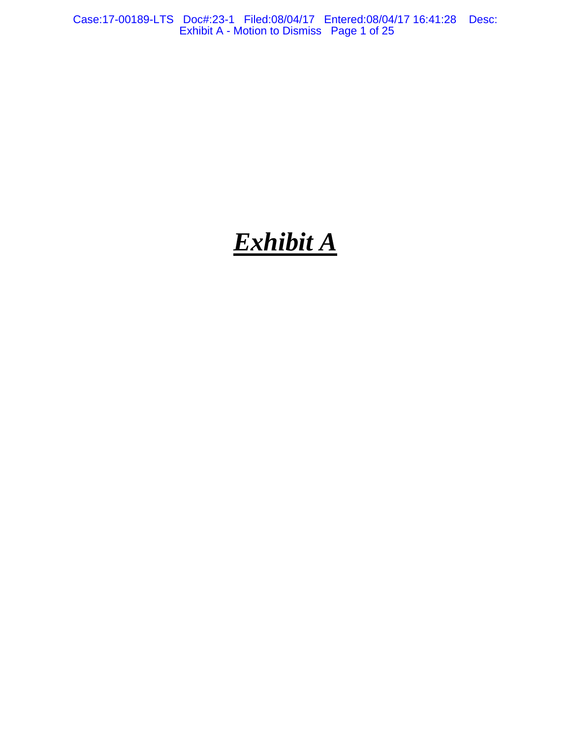Case:17-00189-LTS Doc#:23-1 Filed:08/04/17 Entered:08/04/17 16:41:28 Desc: Exhibit A - Motion to Dismiss Page 1 of 25

# *Exhibit A*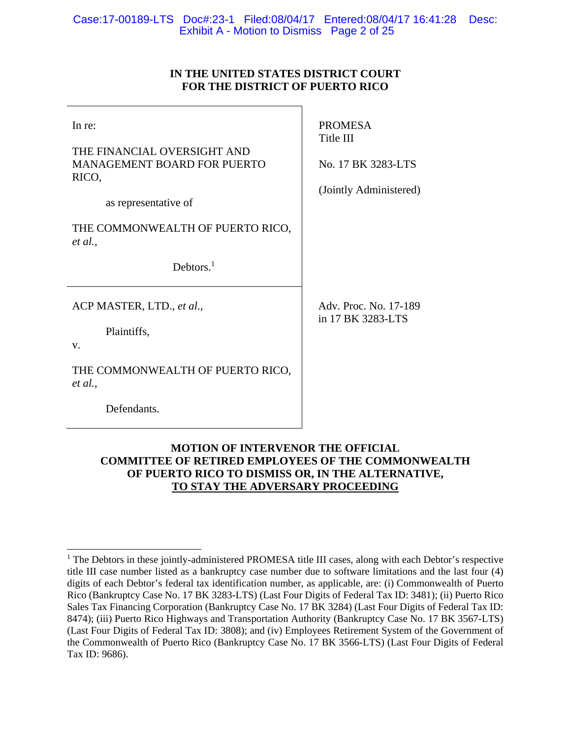# **IN THE UNITED STATES DISTRICT COURT FOR THE DISTRICT OF PUERTO RICO**

| In re:<br>THE FINANCIAL OVERSIGHT AND<br><b>MANAGEMENT BOARD FOR PUERTO</b><br>RICO,<br>as representative of | <b>PROMESA</b><br>Title III<br>No. 17 BK 3283-LTS<br>(Jointly Administered) |
|--------------------------------------------------------------------------------------------------------------|-----------------------------------------------------------------------------|
| THE COMMONWEALTH OF PUERTO RICO,<br>et al.,                                                                  |                                                                             |
| Debtors. $1$                                                                                                 |                                                                             |
| ACP MASTER, LTD., et al.,                                                                                    | Adv. Proc. No. 17-189<br>in 17 BK 3283-LTS                                  |
| Plaintiffs,<br>V.                                                                                            |                                                                             |
| THE COMMONWEALTH OF PUERTO RICO,<br>et al.,                                                                  |                                                                             |
| Defendants.                                                                                                  |                                                                             |

# **MOTION OF INTERVENOR THE OFFICIAL COMMITTEE OF RETIRED EMPLOYEES OF THE COMMONWEALTH OF PUERTO RICO TO DISMISS OR, IN THE ALTERNATIVE, TO STAY THE ADVERSARY PROCEEDING**

 $\overline{a}$ <sup>1</sup> The Debtors in these jointly-administered PROMESA title III cases, along with each Debtor's respective title III case number listed as a bankruptcy case number due to software limitations and the last four (4) digits of each Debtor's federal tax identification number, as applicable, are: (i) Commonwealth of Puerto Rico (Bankruptcy Case No. 17 BK 3283-LTS) (Last Four Digits of Federal Tax ID: 3481); (ii) Puerto Rico Sales Tax Financing Corporation (Bankruptcy Case No. 17 BK 3284) (Last Four Digits of Federal Tax ID: 8474); (iii) Puerto Rico Highways and Transportation Authority (Bankruptcy Case No. 17 BK 3567-LTS) (Last Four Digits of Federal Tax ID: 3808); and (iv) Employees Retirement System of the Government of the Commonwealth of Puerto Rico (Bankruptcy Case No. 17 BK 3566-LTS) (Last Four Digits of Federal Tax ID: 9686).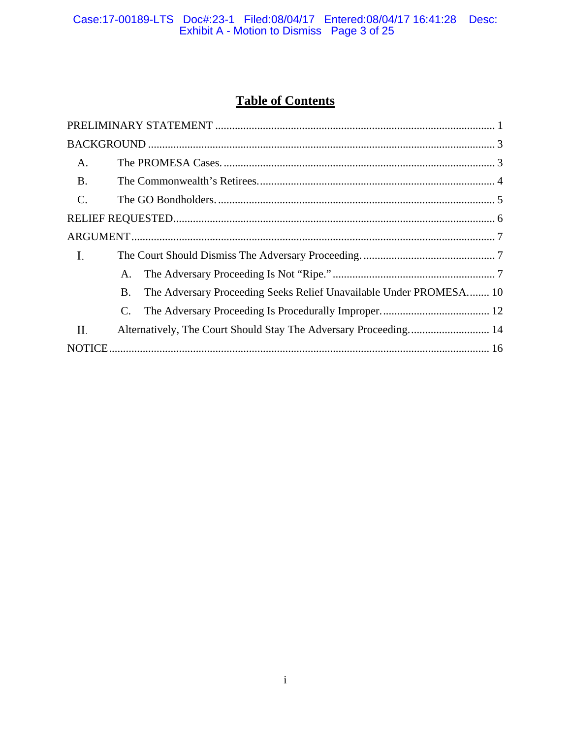# Case:17-00189-LTS Doc#:23-1 Filed:08/04/17 Entered:08/04/17 16:41:28 Desc:<br>Exhibit A - Motion to Dismiss Page 3 of 25

# **Table of Contents**

| A.              |           |                                                                    |  |
|-----------------|-----------|--------------------------------------------------------------------|--|
| <b>B.</b>       |           |                                                                    |  |
| $\mathcal{C}$ . |           |                                                                    |  |
|                 |           |                                                                    |  |
|                 |           |                                                                    |  |
| Ι.              |           |                                                                    |  |
|                 | A.        |                                                                    |  |
|                 | <b>B.</b> | The Adversary Proceeding Seeks Relief Unavailable Under PROMESA 10 |  |
|                 | C.        |                                                                    |  |
| П.              |           |                                                                    |  |
|                 |           |                                                                    |  |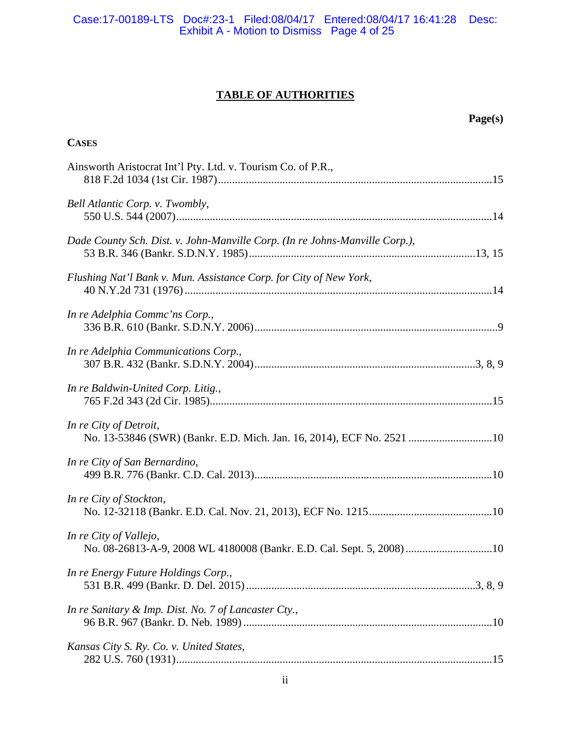Case:17-00189-LTS Doc#:23-1 Filed:08/04/17 Entered:08/04/17 16:41:28 Desc: Exhibit A - Motion to Dismiss Page 4 of 25

# **TABLE OF AUTHORITIES**

**Page(s)** 

| <b>CASES</b>                                                                                    |  |
|-------------------------------------------------------------------------------------------------|--|
| Ainsworth Aristocrat Int'l Pty. Ltd. v. Tourism Co. of P.R.,                                    |  |
| Bell Atlantic Corp. v. Twombly,                                                                 |  |
| Dade County Sch. Dist. v. John-Manville Corp. (In re Johns-Manville Corp.),                     |  |
| Flushing Nat'l Bank v. Mun. Assistance Corp. for City of New York,                              |  |
| In re Adelphia Commc'ns Corp.,                                                                  |  |
| In re Adelphia Communications Corp.,                                                            |  |
| In re Baldwin-United Corp. Litig.,                                                              |  |
| In re City of Detroit,<br>No. 13-53846 (SWR) (Bankr. E.D. Mich. Jan. 16, 2014), ECF No. 2521 10 |  |
| In re City of San Bernardino,                                                                   |  |
| In re City of Stockton,                                                                         |  |
| In re City of Vallejo,<br>No. 08-26813-A-9, 2008 WL 4180008 (Bankr. E.D. Cal. Sept. 5, 2008) 10 |  |
| In re Energy Future Holdings Corp.,                                                             |  |
| In re Sanitary & Imp. Dist. No. 7 of Lancaster Cty.,                                            |  |
| Kansas City S. Ry. Co. v. United States,                                                        |  |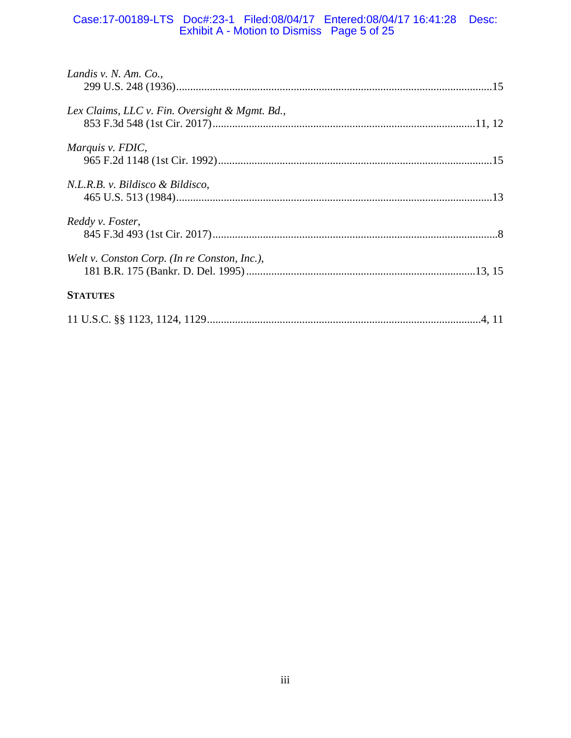# Case:17-00189-LTS Doc#:23-1 Filed:08/04/17 Entered:08/04/17 16:41:28 Desc: Exhibit A - Motion to Dismiss Page 5 of 25

| Landis v. N. Am. Co.,                          |  |
|------------------------------------------------|--|
|                                                |  |
| Lex Claims, LLC v. Fin. Oversight & Mgmt. Bd., |  |
|                                                |  |
| Marquis v. FDIC,                               |  |
|                                                |  |
| N.L.R.B. v. Bildisco & Bildisco,               |  |
|                                                |  |
| Reddy v. Foster,                               |  |
|                                                |  |
| Welt v. Conston Corp. (In re Conston, Inc.),   |  |
|                                                |  |
| <b>STATUTES</b>                                |  |
|                                                |  |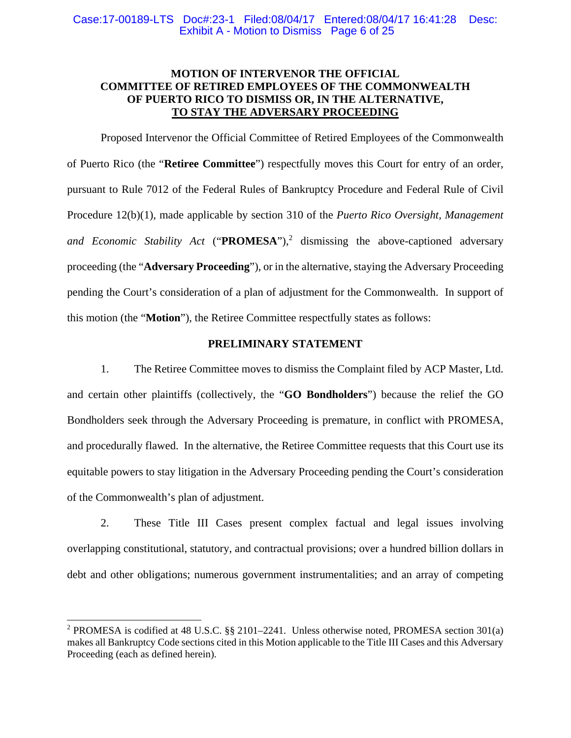# **MOTION OF INTERVENOR THE OFFICIAL COMMITTEE OF RETIRED EMPLOYEES OF THE COMMONWEALTH OF PUERTO RICO TO DISMISS OR, IN THE ALTERNATIVE, TO STAY THE ADVERSARY PROCEEDING**

Proposed Intervenor the Official Committee of Retired Employees of the Commonwealth of Puerto Rico (the "**Retiree Committee**") respectfully moves this Court for entry of an order, pursuant to Rule 7012 of the Federal Rules of Bankruptcy Procedure and Federal Rule of Civil Procedure 12(b)(1), made applicable by section 310 of the *Puerto Rico Oversight, Management*  and Economic Stability Act ("**PROMESA**"),<sup>2</sup> dismissing the above-captioned adversary proceeding (the "**Adversary Proceeding**"), or in the alternative, staying the Adversary Proceeding pending the Court's consideration of a plan of adjustment for the Commonwealth. In support of this motion (the "**Motion**"), the Retiree Committee respectfully states as follows:

# **PRELIMINARY STATEMENT**

1. The Retiree Committee moves to dismiss the Complaint filed by ACP Master, Ltd. and certain other plaintiffs (collectively, the "**GO Bondholders**") because the relief the GO Bondholders seek through the Adversary Proceeding is premature, in conflict with PROMESA, and procedurally flawed. In the alternative, the Retiree Committee requests that this Court use its equitable powers to stay litigation in the Adversary Proceeding pending the Court's consideration of the Commonwealth's plan of adjustment.

2. These Title III Cases present complex factual and legal issues involving overlapping constitutional, statutory, and contractual provisions; over a hundred billion dollars in debt and other obligations; numerous government instrumentalities; and an array of competing

 $\overline{a}$ 

<sup>&</sup>lt;sup>2</sup> PROMESA is codified at 48 U.S.C. §§ 2101–2241. Unless otherwise noted, PROMESA section 301(a) makes all Bankruptcy Code sections cited in this Motion applicable to the Title III Cases and this Adversary Proceeding (each as defined herein).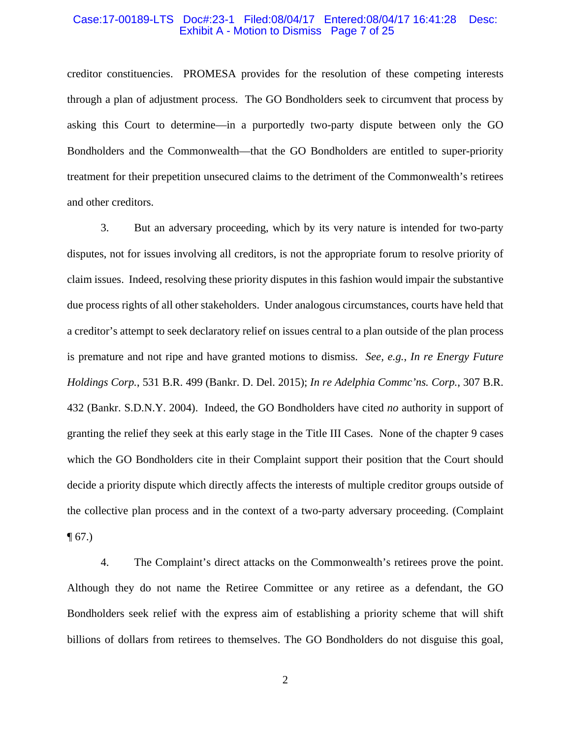#### Case:17-00189-LTS Doc#:23-1 Filed:08/04/17 Entered:08/04/17 16:41:28 Desc: Exhibit A - Motion to Dismiss Page 7 of 25

creditor constituencies. PROMESA provides for the resolution of these competing interests through a plan of adjustment process. The GO Bondholders seek to circumvent that process by asking this Court to determine—in a purportedly two-party dispute between only the GO Bondholders and the Commonwealth—that the GO Bondholders are entitled to super-priority treatment for their prepetition unsecured claims to the detriment of the Commonwealth's retirees and other creditors.

3. But an adversary proceeding, which by its very nature is intended for two-party disputes, not for issues involving all creditors, is not the appropriate forum to resolve priority of claim issues. Indeed, resolving these priority disputes in this fashion would impair the substantive due process rights of all other stakeholders. Under analogous circumstances, courts have held that a creditor's attempt to seek declaratory relief on issues central to a plan outside of the plan process is premature and not ripe and have granted motions to dismiss. *See, e.g.*, *In re Energy Future Holdings Corp.*, 531 B.R. 499 (Bankr. D. Del. 2015); *In re Adelphia Commc'ns. Corp.*, 307 B.R. 432 (Bankr. S.D.N.Y. 2004). Indeed, the GO Bondholders have cited *no* authority in support of granting the relief they seek at this early stage in the Title III Cases. None of the chapter 9 cases which the GO Bondholders cite in their Complaint support their position that the Court should decide a priority dispute which directly affects the interests of multiple creditor groups outside of the collective plan process and in the context of a two-party adversary proceeding. (Complaint  $\P(67.)$ 

4. The Complaint's direct attacks on the Commonwealth's retirees prove the point. Although they do not name the Retiree Committee or any retiree as a defendant, the GO Bondholders seek relief with the express aim of establishing a priority scheme that will shift billions of dollars from retirees to themselves. The GO Bondholders do not disguise this goal,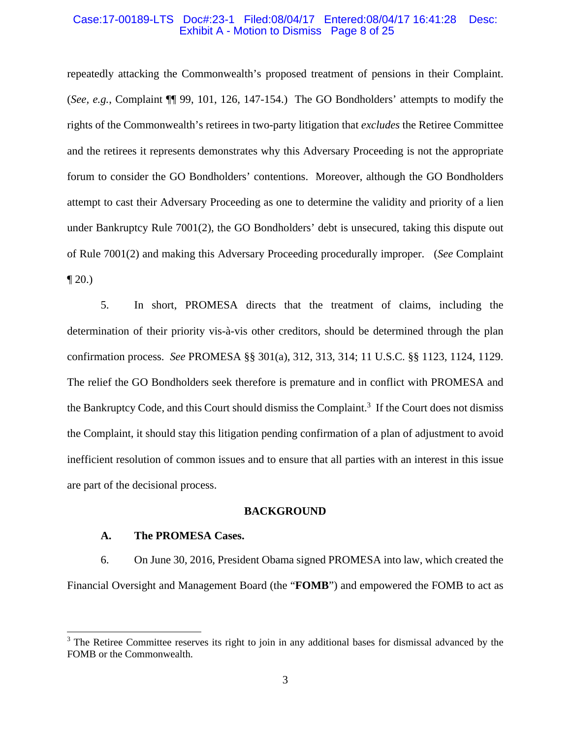#### Case:17-00189-LTS Doc#:23-1 Filed:08/04/17 Entered:08/04/17 16:41:28 Desc: Exhibit A - Motion to Dismiss Page 8 of 25

repeatedly attacking the Commonwealth's proposed treatment of pensions in their Complaint. (*See, e.g.*, Complaint ¶¶ 99, 101, 126, 147-154.) The GO Bondholders' attempts to modify the rights of the Commonwealth's retirees in two-party litigation that *excludes* the Retiree Committee and the retirees it represents demonstrates why this Adversary Proceeding is not the appropriate forum to consider the GO Bondholders' contentions. Moreover, although the GO Bondholders attempt to cast their Adversary Proceeding as one to determine the validity and priority of a lien under Bankruptcy Rule 7001(2), the GO Bondholders' debt is unsecured, taking this dispute out of Rule 7001(2) and making this Adversary Proceeding procedurally improper. (*See* Complaint  $\P 20.$ 

5. In short, PROMESA directs that the treatment of claims, including the determination of their priority vis-à-vis other creditors, should be determined through the plan confirmation process. *See* PROMESA §§ 301(a), 312, 313, 314; 11 U.S.C. §§ 1123, 1124, 1129. The relief the GO Bondholders seek therefore is premature and in conflict with PROMESA and the Bankruptcy Code, and this Court should dismiss the Complaint.<sup>3</sup> If the Court does not dismiss the Complaint, it should stay this litigation pending confirmation of a plan of adjustment to avoid inefficient resolution of common issues and to ensure that all parties with an interest in this issue are part of the decisional process.

#### **BACKGROUND**

#### **A. The PROMESA Cases.**

 $\overline{a}$ 

6. On June 30, 2016, President Obama signed PROMESA into law, which created the Financial Oversight and Management Board (the "**FOMB**") and empowered the FOMB to act as

<sup>&</sup>lt;sup>3</sup> The Retiree Committee reserves its right to join in any additional bases for dismissal advanced by the FOMB or the Commonwealth.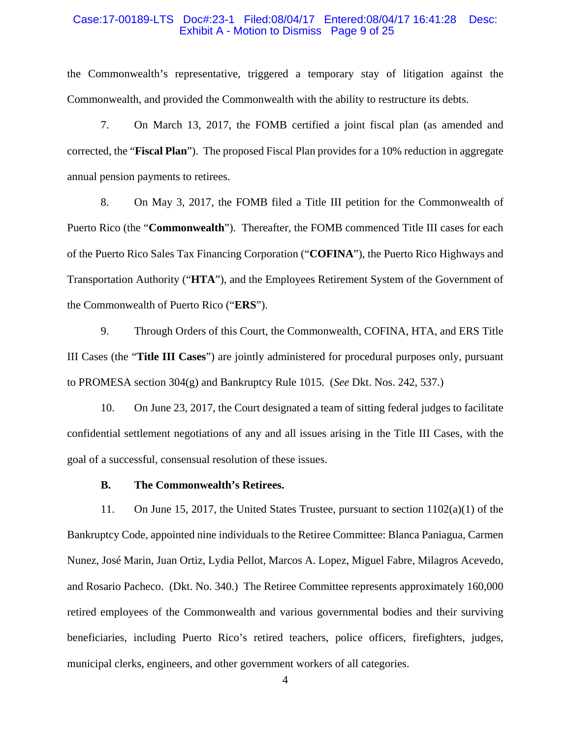#### Case:17-00189-LTS Doc#:23-1 Filed:08/04/17 Entered:08/04/17 16:41:28 Desc: Exhibit A - Motion to Dismiss Page 9 of 25

the Commonwealth's representative, triggered a temporary stay of litigation against the Commonwealth, and provided the Commonwealth with the ability to restructure its debts.

7. On March 13, 2017, the FOMB certified a joint fiscal plan (as amended and corrected, the "**Fiscal Plan**"). The proposed Fiscal Plan provides for a 10% reduction in aggregate annual pension payments to retirees.

8. On May 3, 2017, the FOMB filed a Title III petition for the Commonwealth of Puerto Rico (the "**Commonwealth**"). Thereafter, the FOMB commenced Title III cases for each of the Puerto Rico Sales Tax Financing Corporation ("**COFINA**"), the Puerto Rico Highways and Transportation Authority ("**HTA**"), and the Employees Retirement System of the Government of the Commonwealth of Puerto Rico ("**ERS**").

9. Through Orders of this Court, the Commonwealth, COFINA, HTA, and ERS Title III Cases (the "**Title III Cases**") are jointly administered for procedural purposes only, pursuant to PROMESA section 304(g) and Bankruptcy Rule 1015. (*See* Dkt. Nos. 242, 537.)

10. On June 23, 2017, the Court designated a team of sitting federal judges to facilitate confidential settlement negotiations of any and all issues arising in the Title III Cases, with the goal of a successful, consensual resolution of these issues.

#### **B. The Commonwealth's Retirees.**

11. On June 15, 2017, the United States Trustee, pursuant to section 1102(a)(1) of the Bankruptcy Code, appointed nine individuals to the Retiree Committee: Blanca Paniagua, Carmen Nunez, José Marin, Juan Ortiz, Lydia Pellot, Marcos A. Lopez, Miguel Fabre, Milagros Acevedo, and Rosario Pacheco. (Dkt. No. 340.) The Retiree Committee represents approximately 160,000 retired employees of the Commonwealth and various governmental bodies and their surviving beneficiaries, including Puerto Rico's retired teachers, police officers, firefighters, judges, municipal clerks, engineers, and other government workers of all categories.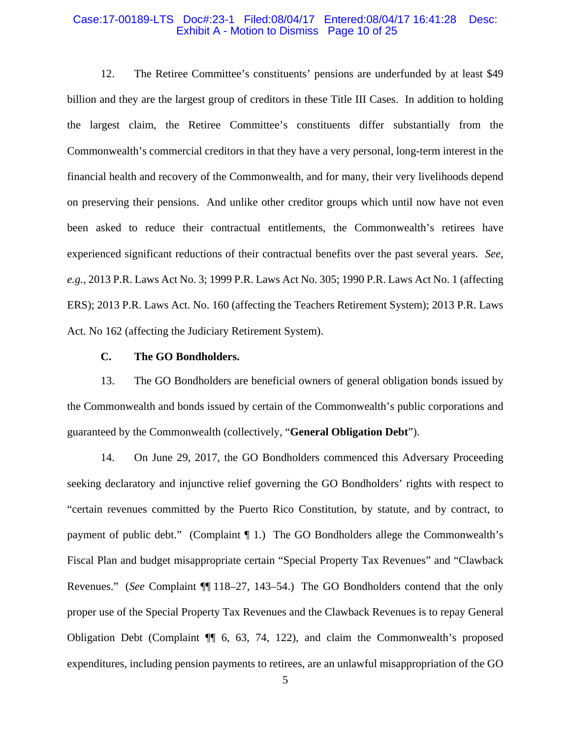#### Case:17-00189-LTS Doc#:23-1 Filed:08/04/17 Entered:08/04/17 16:41:28 Desc: Exhibit A - Motion to Dismiss Page 10 of 25

12. The Retiree Committee's constituents' pensions are underfunded by at least \$49 billion and they are the largest group of creditors in these Title III Cases. In addition to holding the largest claim, the Retiree Committee's constituents differ substantially from the Commonwealth's commercial creditors in that they have a very personal, long-term interest in the financial health and recovery of the Commonwealth, and for many, their very livelihoods depend on preserving their pensions. And unlike other creditor groups which until now have not even been asked to reduce their contractual entitlements, the Commonwealth's retirees have experienced significant reductions of their contractual benefits over the past several years. *See, e.g.*, 2013 P.R. Laws Act No. 3; 1999 P.R. Laws Act No. 305; 1990 P.R. Laws Act No. 1 (affecting ERS); 2013 P.R. Laws Act. No. 160 (affecting the Teachers Retirement System); 2013 P.R. Laws Act. No 162 (affecting the Judiciary Retirement System).

#### **C. The GO Bondholders.**

13. The GO Bondholders are beneficial owners of general obligation bonds issued by the Commonwealth and bonds issued by certain of the Commonwealth's public corporations and guaranteed by the Commonwealth (collectively, "**General Obligation Debt**").

14. On June 29, 2017, the GO Bondholders commenced this Adversary Proceeding seeking declaratory and injunctive relief governing the GO Bondholders' rights with respect to "certain revenues committed by the Puerto Rico Constitution, by statute, and by contract, to payment of public debt." (Complaint ¶ 1.) The GO Bondholders allege the Commonwealth's Fiscal Plan and budget misappropriate certain "Special Property Tax Revenues" and "Clawback Revenues." (*See* Complaint ¶¶ 118–27, 143–54.) The GO Bondholders contend that the only proper use of the Special Property Tax Revenues and the Clawback Revenues is to repay General Obligation Debt (Complaint ¶¶ 6, 63, 74, 122), and claim the Commonwealth's proposed expenditures, including pension payments to retirees, are an unlawful misappropriation of the GO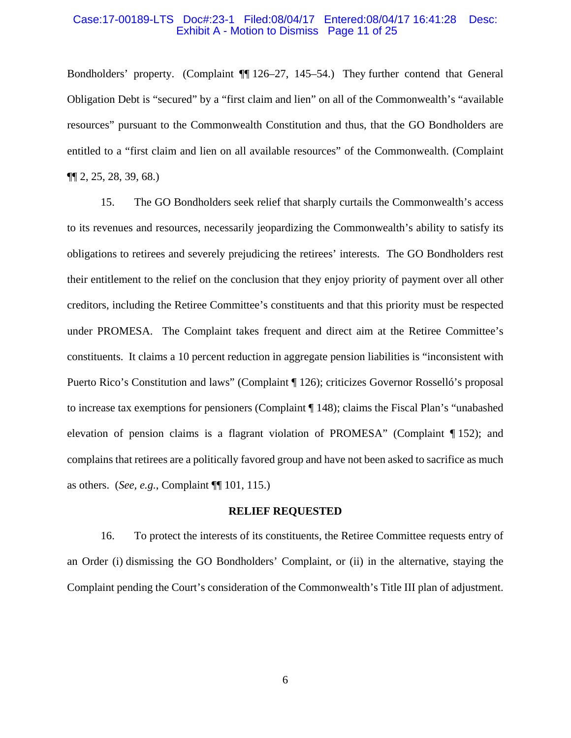#### Case:17-00189-LTS Doc#:23-1 Filed:08/04/17 Entered:08/04/17 16:41:28 Desc: Exhibit A - Motion to Dismiss Page 11 of 25

Bondholders' property. (Complaint ¶¶ 126–27, 145–54.) They further contend that General Obligation Debt is "secured" by a "first claim and lien" on all of the Commonwealth's "available resources" pursuant to the Commonwealth Constitution and thus, that the GO Bondholders are entitled to a "first claim and lien on all available resources" of the Commonwealth. (Complaint ¶¶ 2, 25, 28, 39, 68.)

15. The GO Bondholders seek relief that sharply curtails the Commonwealth's access to its revenues and resources, necessarily jeopardizing the Commonwealth's ability to satisfy its obligations to retirees and severely prejudicing the retirees' interests. The GO Bondholders rest their entitlement to the relief on the conclusion that they enjoy priority of payment over all other creditors, including the Retiree Committee's constituents and that this priority must be respected under PROMESA. The Complaint takes frequent and direct aim at the Retiree Committee's constituents. It claims a 10 percent reduction in aggregate pension liabilities is "inconsistent with Puerto Rico's Constitution and laws" (Complaint ¶ 126); criticizes Governor Rosselló's proposal to increase tax exemptions for pensioners (Complaint ¶ 148); claims the Fiscal Plan's "unabashed elevation of pension claims is a flagrant violation of PROMESA" (Complaint ¶ 152); and complains that retirees are a politically favored group and have not been asked to sacrifice as much as others. (*See, e.g.*, Complaint ¶¶ 101, 115.)

#### **RELIEF REQUESTED**

16. To protect the interests of its constituents, the Retiree Committee requests entry of an Order (i) dismissing the GO Bondholders' Complaint, or (ii) in the alternative, staying the Complaint pending the Court's consideration of the Commonwealth's Title III plan of adjustment.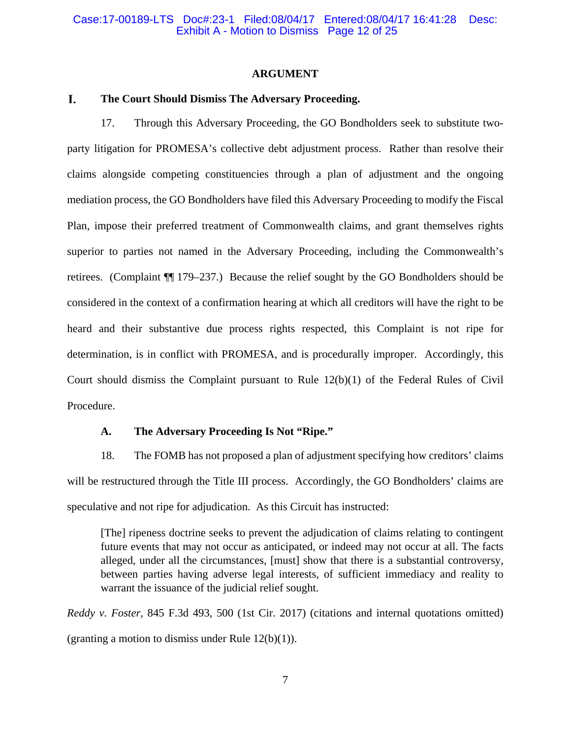#### **ARGUMENT**

#### L. **The Court Should Dismiss The Adversary Proceeding.**

17. Through this Adversary Proceeding, the GO Bondholders seek to substitute twoparty litigation for PROMESA's collective debt adjustment process. Rather than resolve their claims alongside competing constituencies through a plan of adjustment and the ongoing mediation process, the GO Bondholders have filed this Adversary Proceeding to modify the Fiscal Plan, impose their preferred treatment of Commonwealth claims, and grant themselves rights superior to parties not named in the Adversary Proceeding, including the Commonwealth's retirees. (Complaint ¶¶ 179–237.) Because the relief sought by the GO Bondholders should be considered in the context of a confirmation hearing at which all creditors will have the right to be heard and their substantive due process rights respected, this Complaint is not ripe for determination, is in conflict with PROMESA, and is procedurally improper. Accordingly, this Court should dismiss the Complaint pursuant to Rule 12(b)(1) of the Federal Rules of Civil Procedure.

### **A. The Adversary Proceeding Is Not "Ripe."**

18. The FOMB has not proposed a plan of adjustment specifying how creditors' claims will be restructured through the Title III process. Accordingly, the GO Bondholders' claims are speculative and not ripe for adjudication. As this Circuit has instructed:

[The] ripeness doctrine seeks to prevent the adjudication of claims relating to contingent future events that may not occur as anticipated, or indeed may not occur at all. The facts alleged, under all the circumstances, [must] show that there is a substantial controversy, between parties having adverse legal interests, of sufficient immediacy and reality to warrant the issuance of the judicial relief sought.

*Reddy v. Foster*, 845 F.3d 493, 500 (1st Cir. 2017) (citations and internal quotations omitted) (granting a motion to dismiss under Rule  $12(b)(1)$ ).

7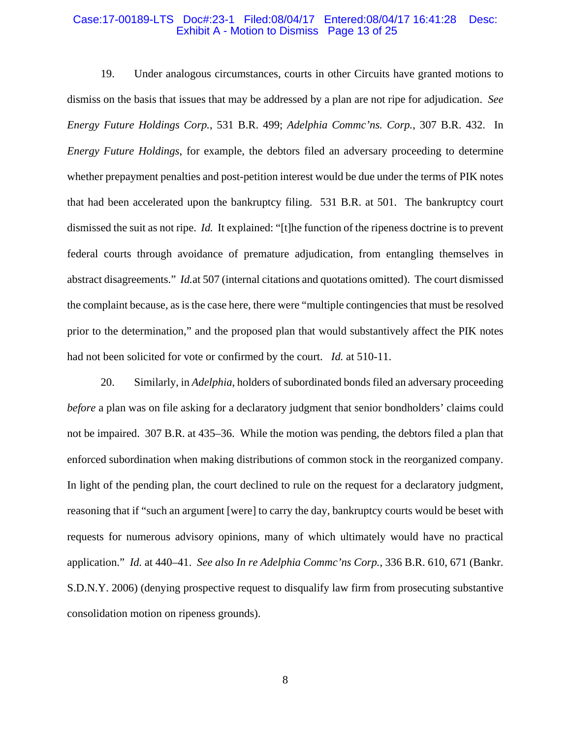#### Case:17-00189-LTS Doc#:23-1 Filed:08/04/17 Entered:08/04/17 16:41:28 Desc: Exhibit A - Motion to Dismiss Page 13 of 25

19. Under analogous circumstances, courts in other Circuits have granted motions to dismiss on the basis that issues that may be addressed by a plan are not ripe for adjudication. *See Energy Future Holdings Corp.*, 531 B.R. 499; *Adelphia Commc'ns. Corp.*, 307 B.R. 432. In *Energy Future Holdings*, for example, the debtors filed an adversary proceeding to determine whether prepayment penalties and post-petition interest would be due under the terms of PIK notes that had been accelerated upon the bankruptcy filing. 531 B.R. at 501. The bankruptcy court dismissed the suit as not ripe. *Id.* It explained: "[t]he function of the ripeness doctrine is to prevent federal courts through avoidance of premature adjudication, from entangling themselves in abstract disagreements." *Id.*at 507 (internal citations and quotations omitted). The court dismissed the complaint because, as is the case here, there were "multiple contingencies that must be resolved prior to the determination," and the proposed plan that would substantively affect the PIK notes had not been solicited for vote or confirmed by the court. *Id.* at 510-11.

20. Similarly, in *Adelphia*, holders of subordinated bonds filed an adversary proceeding *before* a plan was on file asking for a declaratory judgment that senior bondholders' claims could not be impaired. 307 B.R. at 435–36. While the motion was pending, the debtors filed a plan that enforced subordination when making distributions of common stock in the reorganized company. In light of the pending plan, the court declined to rule on the request for a declaratory judgment, reasoning that if "such an argument [were] to carry the day, bankruptcy courts would be beset with requests for numerous advisory opinions, many of which ultimately would have no practical application." *Id.* at 440–41. *See also In re Adelphia Commc'ns Corp.*, 336 B.R. 610, 671 (Bankr. S.D.N.Y. 2006) (denying prospective request to disqualify law firm from prosecuting substantive consolidation motion on ripeness grounds).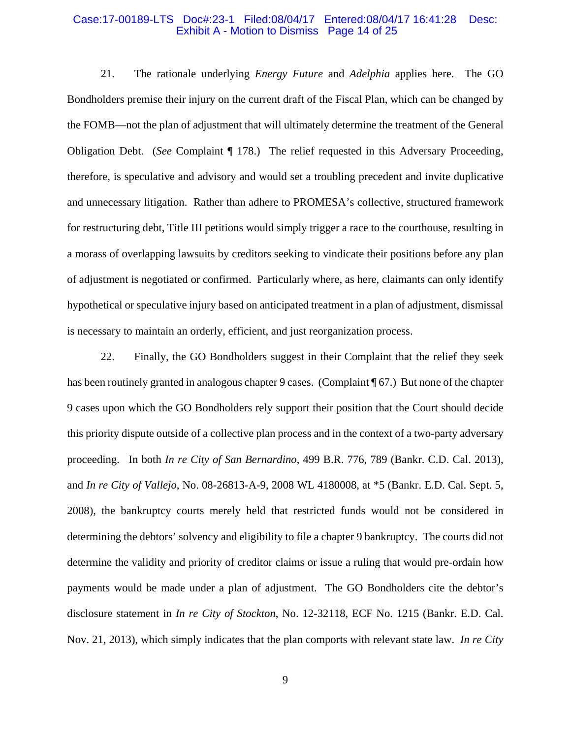#### Case:17-00189-LTS Doc#:23-1 Filed:08/04/17 Entered:08/04/17 16:41:28 Desc: Exhibit A - Motion to Dismiss Page 14 of 25

21. The rationale underlying *Energy Future* and *Adelphia* applies here. The GO Bondholders premise their injury on the current draft of the Fiscal Plan, which can be changed by the FOMB—not the plan of adjustment that will ultimately determine the treatment of the General Obligation Debt. (*See* Complaint ¶ 178.) The relief requested in this Adversary Proceeding, therefore, is speculative and advisory and would set a troubling precedent and invite duplicative and unnecessary litigation. Rather than adhere to PROMESA's collective, structured framework for restructuring debt, Title III petitions would simply trigger a race to the courthouse, resulting in a morass of overlapping lawsuits by creditors seeking to vindicate their positions before any plan of adjustment is negotiated or confirmed. Particularly where, as here, claimants can only identify hypothetical or speculative injury based on anticipated treatment in a plan of adjustment, dismissal is necessary to maintain an orderly, efficient, and just reorganization process.

22. Finally, the GO Bondholders suggest in their Complaint that the relief they seek has been routinely granted in analogous chapter 9 cases. (Complaint [ 67.) But none of the chapter 9 cases upon which the GO Bondholders rely support their position that the Court should decide this priority dispute outside of a collective plan process and in the context of a two-party adversary proceeding. In both *In re City of San Bernardino*, 499 B.R. 776, 789 (Bankr. C.D. Cal. 2013), and *In re City of Vallejo*, No. 08-26813-A-9, 2008 WL 4180008, at \*5 (Bankr. E.D. Cal. Sept. 5, 2008), the bankruptcy courts merely held that restricted funds would not be considered in determining the debtors' solvency and eligibility to file a chapter 9 bankruptcy. The courts did not determine the validity and priority of creditor claims or issue a ruling that would pre-ordain how payments would be made under a plan of adjustment. The GO Bondholders cite the debtor's disclosure statement in *In re City of Stockton*, No. 12-32118, ECF No. 1215 (Bankr. E.D. Cal. Nov. 21, 2013), which simply indicates that the plan comports with relevant state law. *In re City*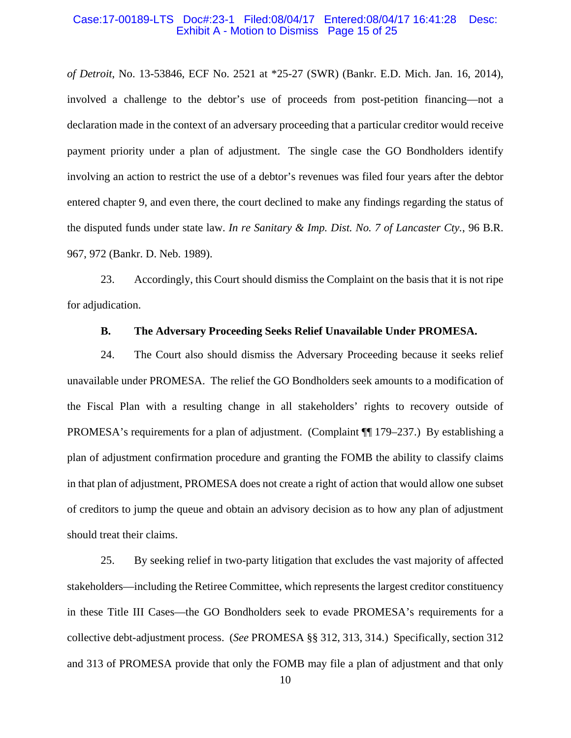#### Case:17-00189-LTS Doc#:23-1 Filed:08/04/17 Entered:08/04/17 16:41:28 Desc: Exhibit A - Motion to Dismiss Page 15 of 25

*of Detroit*, No. 13-53846, ECF No. 2521 at \*25-27 (SWR) (Bankr. E.D. Mich. Jan. 16, 2014), involved a challenge to the debtor's use of proceeds from post-petition financing—not a declaration made in the context of an adversary proceeding that a particular creditor would receive payment priority under a plan of adjustment. The single case the GO Bondholders identify involving an action to restrict the use of a debtor's revenues was filed four years after the debtor entered chapter 9, and even there, the court declined to make any findings regarding the status of the disputed funds under state law. *In re Sanitary & Imp. Dist. No. 7 of Lancaster Cty.*, 96 B.R. 967, 972 (Bankr. D. Neb. 1989).

23. Accordingly, this Court should dismiss the Complaint on the basis that it is not ripe for adjudication.

#### **B. The Adversary Proceeding Seeks Relief Unavailable Under PROMESA.**

24. The Court also should dismiss the Adversary Proceeding because it seeks relief unavailable under PROMESA. The relief the GO Bondholders seek amounts to a modification of the Fiscal Plan with a resulting change in all stakeholders' rights to recovery outside of PROMESA's requirements for a plan of adjustment. (Complaint ¶¶ 179–237.) By establishing a plan of adjustment confirmation procedure and granting the FOMB the ability to classify claims in that plan of adjustment, PROMESA does not create a right of action that would allow one subset of creditors to jump the queue and obtain an advisory decision as to how any plan of adjustment should treat their claims.

25. By seeking relief in two-party litigation that excludes the vast majority of affected stakeholders—including the Retiree Committee, which represents the largest creditor constituency in these Title III Cases—the GO Bondholders seek to evade PROMESA's requirements for a collective debt-adjustment process. (*See* PROMESA §§ 312, 313, 314.) Specifically, section 312 and 313 of PROMESA provide that only the FOMB may file a plan of adjustment and that only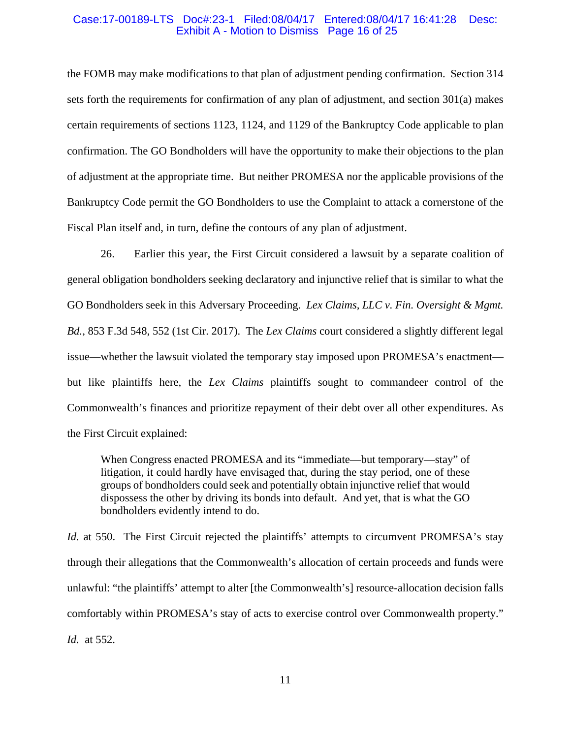#### Case:17-00189-LTS Doc#:23-1 Filed:08/04/17 Entered:08/04/17 16:41:28 Desc: Exhibit A - Motion to Dismiss Page 16 of 25

the FOMB may make modifications to that plan of adjustment pending confirmation. Section 314 sets forth the requirements for confirmation of any plan of adjustment, and section 301(a) makes certain requirements of sections 1123, 1124, and 1129 of the Bankruptcy Code applicable to plan confirmation. The GO Bondholders will have the opportunity to make their objections to the plan of adjustment at the appropriate time. But neither PROMESA nor the applicable provisions of the Bankruptcy Code permit the GO Bondholders to use the Complaint to attack a cornerstone of the Fiscal Plan itself and, in turn, define the contours of any plan of adjustment.

26. Earlier this year, the First Circuit considered a lawsuit by a separate coalition of general obligation bondholders seeking declaratory and injunctive relief that is similar to what the GO Bondholders seek in this Adversary Proceeding. *Lex Claims, LLC v. Fin. Oversight & Mgmt. Bd.*, 853 F.3d 548, 552 (1st Cir. 2017). The *Lex Claims* court considered a slightly different legal issue—whether the lawsuit violated the temporary stay imposed upon PROMESA's enactment but like plaintiffs here, the *Lex Claims* plaintiffs sought to commandeer control of the Commonwealth's finances and prioritize repayment of their debt over all other expenditures. As the First Circuit explained:

When Congress enacted PROMESA and its "immediate—but temporary—stay" of litigation, it could hardly have envisaged that, during the stay period, one of these groups of bondholders could seek and potentially obtain injunctive relief that would dispossess the other by driving its bonds into default. And yet, that is what the GO bondholders evidently intend to do.

*Id.* at 550. The First Circuit rejected the plaintiffs' attempts to circumvent PROMESA's stay through their allegations that the Commonwealth's allocation of certain proceeds and funds were unlawful: "the plaintiffs' attempt to alter [the Commonwealth's] resource-allocation decision falls comfortably within PROMESA's stay of acts to exercise control over Commonwealth property." *Id.* at 552.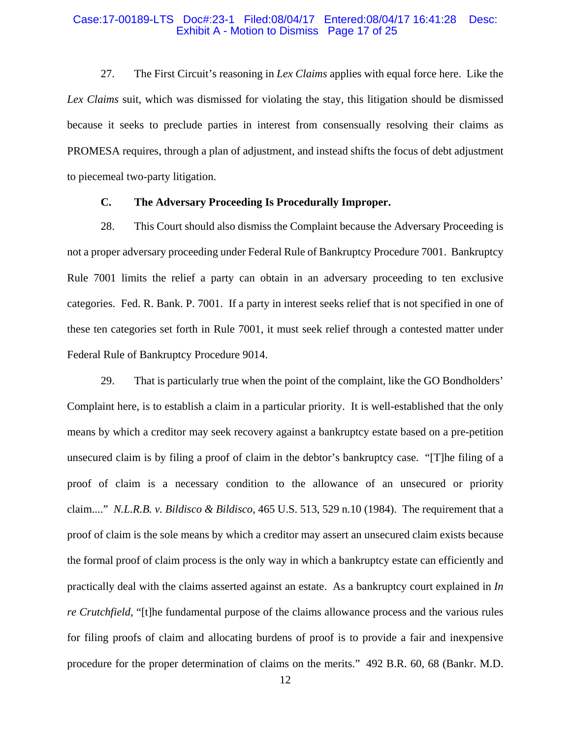#### Case:17-00189-LTS Doc#:23-1 Filed:08/04/17 Entered:08/04/17 16:41:28 Desc: Exhibit A - Motion to Dismiss Page 17 of 25

27. The First Circuit's reasoning in *Lex Claims* applies with equal force here. Like the *Lex Claims* suit, which was dismissed for violating the stay, this litigation should be dismissed because it seeks to preclude parties in interest from consensually resolving their claims as PROMESA requires, through a plan of adjustment, and instead shifts the focus of debt adjustment to piecemeal two-party litigation.

### **C. The Adversary Proceeding Is Procedurally Improper.**

28. This Court should also dismiss the Complaint because the Adversary Proceeding is not a proper adversary proceeding under Federal Rule of Bankruptcy Procedure 7001. Bankruptcy Rule 7001 limits the relief a party can obtain in an adversary proceeding to ten exclusive categories. Fed. R. Bank. P. 7001. If a party in interest seeks relief that is not specified in one of these ten categories set forth in Rule 7001, it must seek relief through a contested matter under Federal Rule of Bankruptcy Procedure 9014.

29. That is particularly true when the point of the complaint, like the GO Bondholders' Complaint here, is to establish a claim in a particular priority. It is well-established that the only means by which a creditor may seek recovery against a bankruptcy estate based on a pre-petition unsecured claim is by filing a proof of claim in the debtor's bankruptcy case. "[T]he filing of a proof of claim is a necessary condition to the allowance of an unsecured or priority claim...." *N.L.R.B. v. Bildisco & Bildisco*, 465 U.S. 513, 529 n.10 (1984). The requirement that a proof of claim is the sole means by which a creditor may assert an unsecured claim exists because the formal proof of claim process is the only way in which a bankruptcy estate can efficiently and practically deal with the claims asserted against an estate. As a bankruptcy court explained in *In re Crutchfield*, "[t]he fundamental purpose of the claims allowance process and the various rules for filing proofs of claim and allocating burdens of proof is to provide a fair and inexpensive procedure for the proper determination of claims on the merits." 492 B.R. 60, 68 (Bankr. M.D.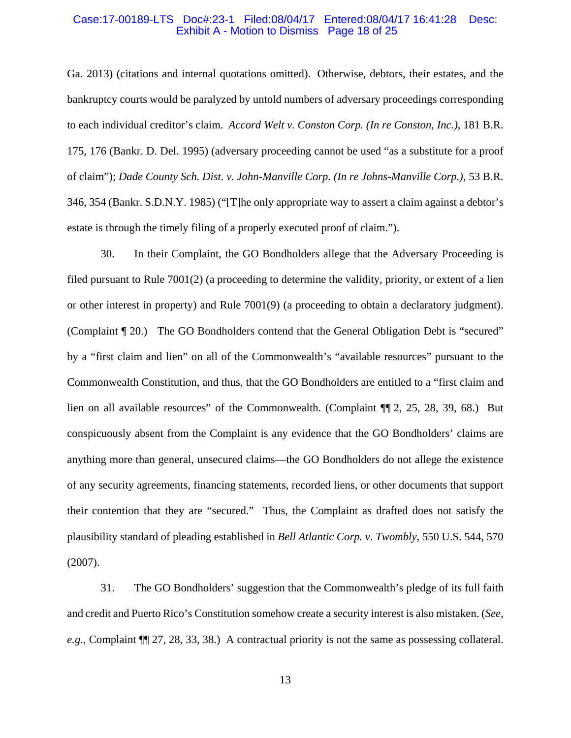#### Case:17-00189-LTS Doc#:23-1 Filed:08/04/17 Entered:08/04/17 16:41:28 Desc: Exhibit A - Motion to Dismiss Page 18 of 25

Ga. 2013) (citations and internal quotations omitted). Otherwise, debtors, their estates, and the bankruptcy courts would be paralyzed by untold numbers of adversary proceedings corresponding to each individual creditor's claim. *Accord Welt v. Conston Corp. (In re Conston, Inc.)*, 181 B.R. 175, 176 (Bankr. D. Del. 1995) (adversary proceeding cannot be used "as a substitute for a proof of claim"); *Dade County Sch. Dist. v. John-Manville Corp. (In re Johns-Manville Corp.)*, 53 B.R. 346, 354 (Bankr. S.D.N.Y. 1985) ("[T]he only appropriate way to assert a claim against a debtor's estate is through the timely filing of a properly executed proof of claim.").

30. In their Complaint, the GO Bondholders allege that the Adversary Proceeding is filed pursuant to Rule 7001(2) (a proceeding to determine the validity, priority, or extent of a lien or other interest in property) and Rule 7001(9) (a proceeding to obtain a declaratory judgment). (Complaint ¶ 20.) The GO Bondholders contend that the General Obligation Debt is "secured" by a "first claim and lien" on all of the Commonwealth's "available resources" pursuant to the Commonwealth Constitution, and thus, that the GO Bondholders are entitled to a "first claim and lien on all available resources" of the Commonwealth. (Complaint ¶¶ 2, 25, 28, 39, 68.) But conspicuously absent from the Complaint is any evidence that the GO Bondholders' claims are anything more than general, unsecured claims—the GO Bondholders do not allege the existence of any security agreements, financing statements, recorded liens, or other documents that support their contention that they are "secured." Thus, the Complaint as drafted does not satisfy the plausibility standard of pleading established in *Bell Atlantic Corp. v. Twombly*, 550 U.S. 544, 570 (2007).

31. The GO Bondholders' suggestion that the Commonwealth's pledge of its full faith and credit and Puerto Rico's Constitution somehow create a security interest is also mistaken. (*See, e.g.*, Complaint ¶¶ 27, 28, 33, 38.) A contractual priority is not the same as possessing collateral.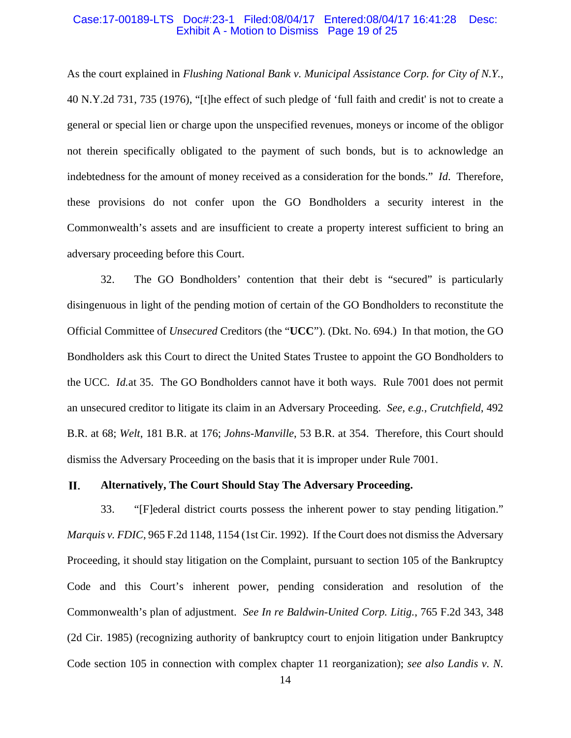#### Case:17-00189-LTS Doc#:23-1 Filed:08/04/17 Entered:08/04/17 16:41:28 Desc: Exhibit A - Motion to Dismiss Page 19 of 25

As the court explained in *Flushing National Bank v. Municipal Assistance Corp. for City of N.Y.*, 40 N.Y.2d 731, 735 (1976), "[t]he effect of such pledge of 'full faith and credit' is not to create a general or special lien or charge upon the unspecified revenues, moneys or income of the obligor not therein specifically obligated to the payment of such bonds, but is to acknowledge an indebtedness for the amount of money received as a consideration for the bonds." *Id*. Therefore, these provisions do not confer upon the GO Bondholders a security interest in the Commonwealth's assets and are insufficient to create a property interest sufficient to bring an adversary proceeding before this Court.

32. The GO Bondholders' contention that their debt is "secured" is particularly disingenuous in light of the pending motion of certain of the GO Bondholders to reconstitute the Official Committee of *Unsecured* Creditors (the "**UCC**"). (Dkt. No. 694.) In that motion, the GO Bondholders ask this Court to direct the United States Trustee to appoint the GO Bondholders to the UCC. *Id.*at 35. The GO Bondholders cannot have it both ways. Rule 7001 does not permit an unsecured creditor to litigate its claim in an Adversary Proceeding. *See, e.g.*, *Crutchfield*, 492 B.R. at 68; *Welt*, 181 B.R. at 176; *Johns-Manville*, 53 B.R. at 354. Therefore, this Court should dismiss the Adversary Proceeding on the basis that it is improper under Rule 7001.

#### П. **Alternatively, The Court Should Stay The Adversary Proceeding.**

33. "[F]ederal district courts possess the inherent power to stay pending litigation." *Marquis v. FDIC*, 965 F.2d 1148, 1154 (1st Cir. 1992). If the Court does not dismiss the Adversary Proceeding, it should stay litigation on the Complaint, pursuant to section 105 of the Bankruptcy Code and this Court's inherent power, pending consideration and resolution of the Commonwealth's plan of adjustment. *See In re Baldwin-United Corp. Litig.*, 765 F.2d 343, 348 (2d Cir. 1985) (recognizing authority of bankruptcy court to enjoin litigation under Bankruptcy Code section 105 in connection with complex chapter 11 reorganization); *see also Landis v. N.*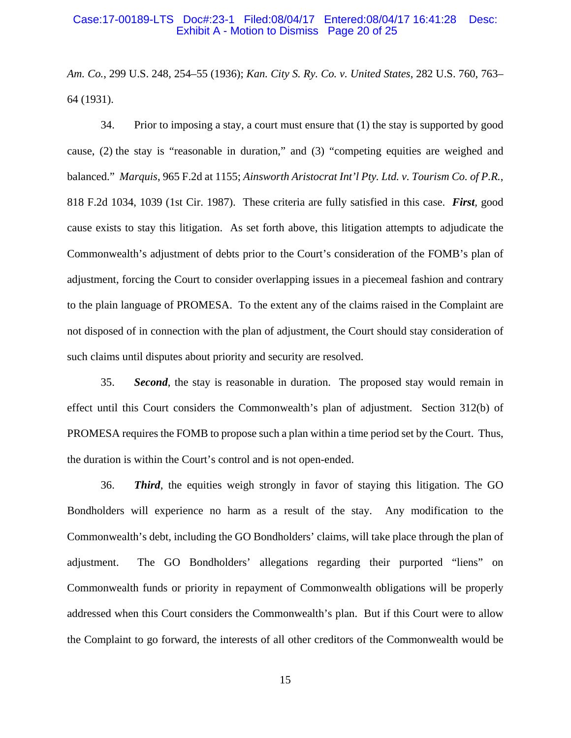#### Case:17-00189-LTS Doc#:23-1 Filed:08/04/17 Entered:08/04/17 16:41:28 Desc: Exhibit A - Motion to Dismiss Page 20 of 25

*Am. Co.*, 299 U.S. 248, 254–55 (1936); *Kan. City S. Ry. Co. v. United States*, 282 U.S. 760, 763– 64 (1931).

34. Prior to imposing a stay, a court must ensure that (1) the stay is supported by good cause, (2) the stay is "reasonable in duration," and (3) "competing equities are weighed and balanced." *Marquis*, 965 F.2d at 1155; *Ainsworth Aristocrat Int'l Pty. Ltd. v. Tourism Co. of P.R.*, 818 F.2d 1034, 1039 (1st Cir. 1987). These criteria are fully satisfied in this case. *First,* good cause exists to stay this litigation. As set forth above, this litigation attempts to adjudicate the Commonwealth's adjustment of debts prior to the Court's consideration of the FOMB's plan of adjustment, forcing the Court to consider overlapping issues in a piecemeal fashion and contrary to the plain language of PROMESA. To the extent any of the claims raised in the Complaint are not disposed of in connection with the plan of adjustment, the Court should stay consideration of such claims until disputes about priority and security are resolved.

35. *Second*, the stay is reasonable in duration. The proposed stay would remain in effect until this Court considers the Commonwealth's plan of adjustment. Section 312(b) of PROMESA requires the FOMB to propose such a plan within a time period set by the Court. Thus, the duration is within the Court's control and is not open-ended.

36. *Third*, the equities weigh strongly in favor of staying this litigation. The GO Bondholders will experience no harm as a result of the stay. Any modification to the Commonwealth's debt, including the GO Bondholders' claims, will take place through the plan of adjustment. The GO Bondholders' allegations regarding their purported "liens" on Commonwealth funds or priority in repayment of Commonwealth obligations will be properly addressed when this Court considers the Commonwealth's plan. But if this Court were to allow the Complaint to go forward, the interests of all other creditors of the Commonwealth would be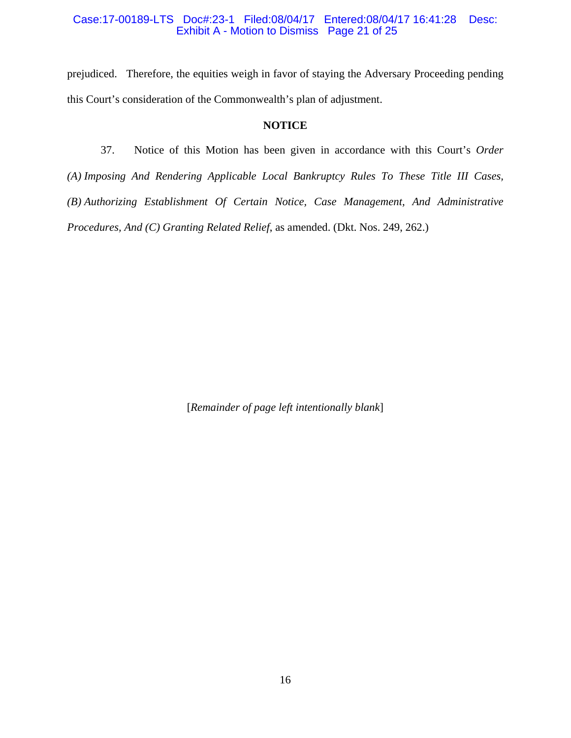#### Case:17-00189-LTS Doc#:23-1 Filed:08/04/17 Entered:08/04/17 16:41:28 Desc: Exhibit A - Motion to Dismiss Page 21 of 25

prejudiced. Therefore, the equities weigh in favor of staying the Adversary Proceeding pending this Court's consideration of the Commonwealth's plan of adjustment.

### **NOTICE**

37. Notice of this Motion has been given in accordance with this Court's *Order (A) Imposing And Rendering Applicable Local Bankruptcy Rules To These Title III Cases, (B) Authorizing Establishment Of Certain Notice, Case Management, And Administrative Procedures, And (C) Granting Related Relief*, as amended. (Dkt. Nos. 249, 262.)

[*Remainder of page left intentionally blank*]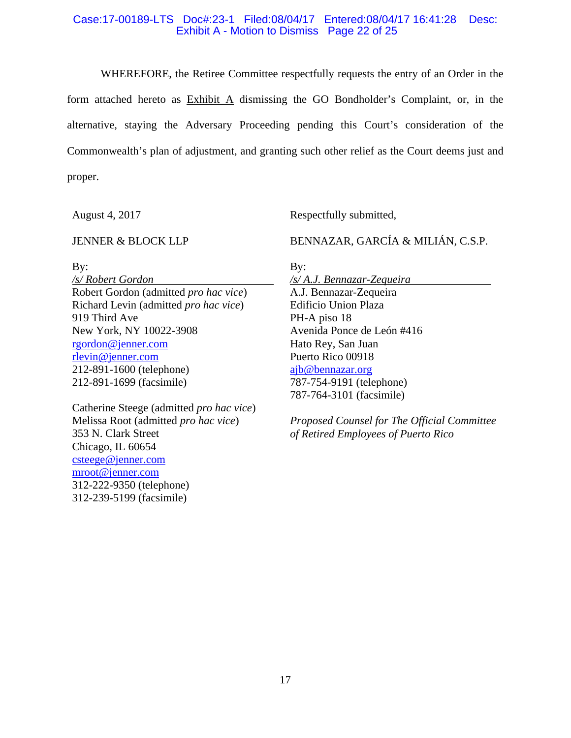#### Case:17-00189-LTS Doc#:23-1 Filed:08/04/17 Entered:08/04/17 16:41:28 Desc: Exhibit A - Motion to Dismiss Page 22 of 25

WHEREFORE, the Retiree Committee respectfully requests the entry of an Order in the form attached hereto as Exhibit A dismissing the GO Bondholder's Complaint, or, in the alternative, staying the Adversary Proceeding pending this Court's consideration of the Commonwealth's plan of adjustment, and granting such other relief as the Court deems just and proper.

August 4, 2017

#### JENNER & BLOCK LLP

By:

*/s/ Robert Gordon*  Robert Gordon (admitted *pro hac vice*) Richard Levin (admitted *pro hac vice*) 919 Third Ave New York, NY 10022-3908 rgordon@jenner.com rlevin@jenner.com 212-891-1600 (telephone) 212-891-1699 (facsimile)

Catherine Steege (admitted *pro hac vice*) Melissa Root (admitted *pro hac vice*) 353 N. Clark Street Chicago, IL 60654 csteege@jenner.com mroot@jenner.com 312-222-9350 (telephone) 312-239-5199 (facsimile)

Respectfully submitted,

BENNAZAR, GARCÍA & MILIÁN, C.S.P.

By:

*/s/ A.J. Bennazar-Zequeira*  A.J. Bennazar-Zequeira Edificio Union Plaza PH-A piso 18 Avenida Ponce de León #416 Hato Rey, San Juan Puerto Rico 00918 ajb@bennazar.org 787-754-9191 (telephone) 787-764-3101 (facsimile)

*Proposed Counsel for The Official Committee of Retired Employees of Puerto Rico*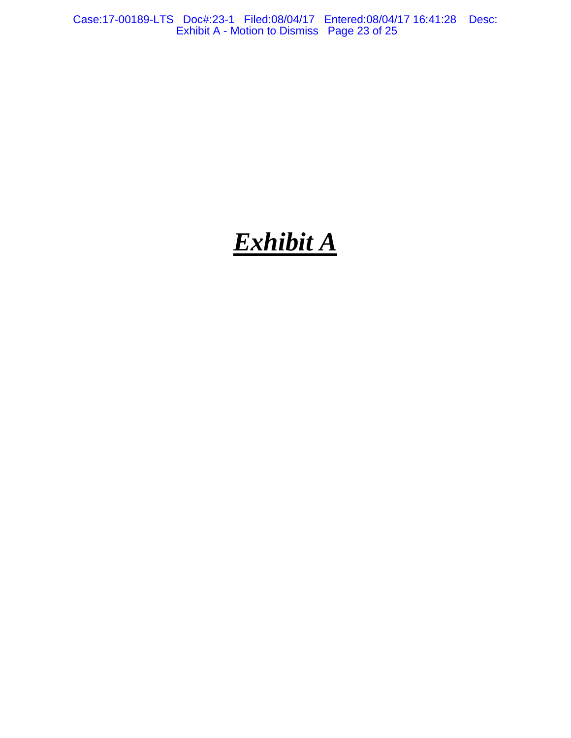Case:17-00189-LTS Doc#:23-1 Filed:08/04/17 Entered:08/04/17 16:41:28 Desc: Exhibit A - Motion to Dismiss Page 23 of 25

# *Exhibit A*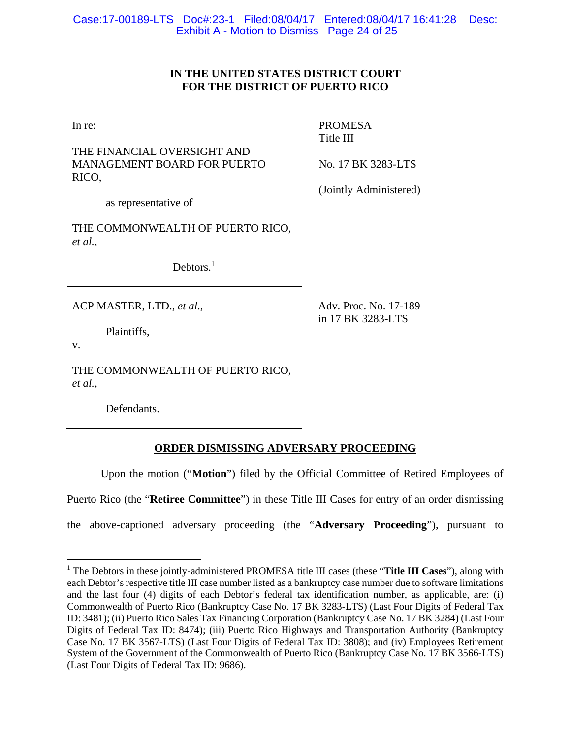# **IN THE UNITED STATES DISTRICT COURT FOR THE DISTRICT OF PUERTO RICO**

| In re:<br>THE FINANCIAL OVERSIGHT AND<br>MANAGEMENT BOARD FOR PUERTO<br>RICO,<br>as representative of | <b>PROMESA</b><br>Title III<br>No. 17 BK 3283-LTS<br>(Jointly Administered) |
|-------------------------------------------------------------------------------------------------------|-----------------------------------------------------------------------------|
| THE COMMONWEALTH OF PUERTO RICO,<br>et al.,<br>Debtors. $1$                                           |                                                                             |
| ACP MASTER, LTD., et al.,<br>Plaintiffs,<br>V.<br>THE COMMONWEALTH OF PUERTO RICO,<br>et al.,         | Adv. Proc. No. 17-189<br>in 17 BK 3283-LTS                                  |
| Defendants.                                                                                           |                                                                             |

# **ORDER DISMISSING ADVERSARY PROCEEDING**

 Upon the motion ("**Motion**") filed by the Official Committee of Retired Employees of Puerto Rico (the "**Retiree Committee**") in these Title III Cases for entry of an order dismissing the above-captioned adversary proceeding (the "**Adversary Proceeding**"), pursuant to

 $\overline{a}$ 

<sup>&</sup>lt;sup>1</sup> The Debtors in these jointly-administered PROMESA title III cases (these "Title III Cases"), along with each Debtor's respective title III case number listed as a bankruptcy case number due to software limitations and the last four (4) digits of each Debtor's federal tax identification number, as applicable, are: (i) Commonwealth of Puerto Rico (Bankruptcy Case No. 17 BK 3283-LTS) (Last Four Digits of Federal Tax ID: 3481); (ii) Puerto Rico Sales Tax Financing Corporation (Bankruptcy Case No. 17 BK 3284) (Last Four Digits of Federal Tax ID: 8474); (iii) Puerto Rico Highways and Transportation Authority (Bankruptcy Case No. 17 BK 3567-LTS) (Last Four Digits of Federal Tax ID: 3808); and (iv) Employees Retirement System of the Government of the Commonwealth of Puerto Rico (Bankruptcy Case No. 17 BK 3566-LTS) (Last Four Digits of Federal Tax ID: 9686).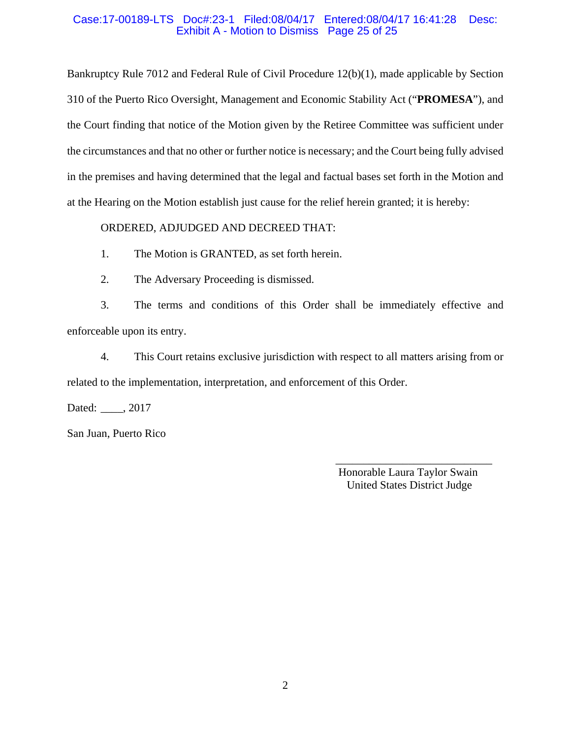### Case:17-00189-LTS Doc#:23-1 Filed:08/04/17 Entered:08/04/17 16:41:28 Desc: Exhibit A - Motion to Dismiss Page 25 of 25

Bankruptcy Rule 7012 and Federal Rule of Civil Procedure 12(b)(1), made applicable by Section 310 of the Puerto Rico Oversight, Management and Economic Stability Act ("**PROMESA**"), and the Court finding that notice of the Motion given by the Retiree Committee was sufficient under the circumstances and that no other or further notice is necessary; and the Court being fully advised in the premises and having determined that the legal and factual bases set forth in the Motion and at the Hearing on the Motion establish just cause for the relief herein granted; it is hereby:

# ORDERED, ADJUDGED AND DECREED THAT:

1. The Motion is GRANTED, as set forth herein.

2. The Adversary Proceeding is dismissed.

3. The terms and conditions of this Order shall be immediately effective and enforceable upon its entry.

4. This Court retains exclusive jurisdiction with respect to all matters arising from or related to the implementation, interpretation, and enforcement of this Order.

 $\overline{\phantom{a}}$  , and the contract of the contract of the contract of the contract of the contract of the contract of the contract of the contract of the contract of the contract of the contract of the contract of the contrac

Dated: \_\_\_\_, 2017

San Juan, Puerto Rico

 Honorable Laura Taylor Swain United States District Judge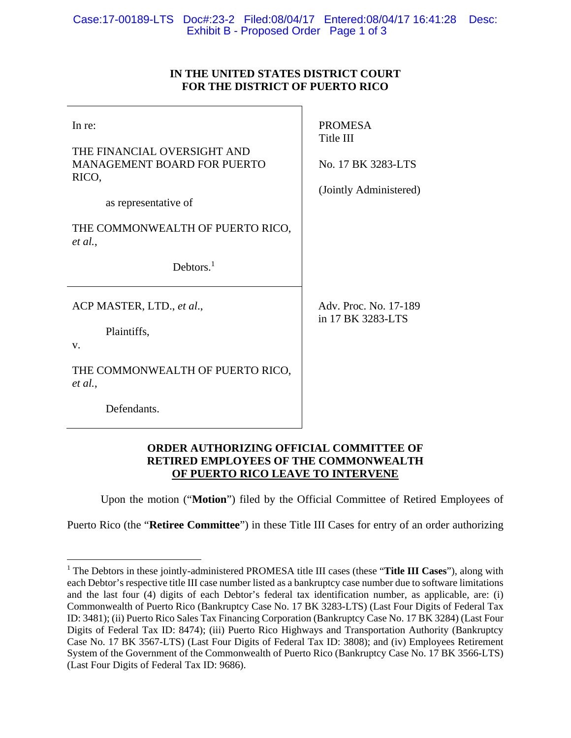# **IN THE UNITED STATES DISTRICT COURT FOR THE DISTRICT OF PUERTO RICO**

| In re:<br>THE FINANCIAL OVERSIGHT AND<br><b>MANAGEMENT BOARD FOR PUERTO</b><br>RICO,<br>as representative of | <b>PROMESA</b><br>Title III<br>No. 17 BK 3283-LTS<br>(Jointly Administered) |
|--------------------------------------------------------------------------------------------------------------|-----------------------------------------------------------------------------|
| THE COMMONWEALTH OF PUERTO RICO,<br>et al.,                                                                  |                                                                             |
| Debtors. $1$                                                                                                 |                                                                             |
| ACP MASTER, LTD., et al.,                                                                                    | Adv. Proc. No. 17-189<br>in 17 BK 3283-LTS                                  |
| Plaintiffs,<br>V.                                                                                            |                                                                             |
| THE COMMONWEALTH OF PUERTO RICO,<br>et al.,                                                                  |                                                                             |
| Defendants.                                                                                                  |                                                                             |

# **ORDER AUTHORIZING OFFICIAL COMMITTEE OF RETIRED EMPLOYEES OF THE COMMONWEALTH OF PUERTO RICO LEAVE TO INTERVENE**

Upon the motion ("**Motion**") filed by the Official Committee of Retired Employees of

Puerto Rico (the "**Retiree Committee**") in these Title III Cases for entry of an order authorizing

 $\overline{a}$ 

<sup>&</sup>lt;sup>1</sup> The Debtors in these jointly-administered PROMESA title III cases (these "Title III Cases"), along with each Debtor's respective title III case number listed as a bankruptcy case number due to software limitations and the last four (4) digits of each Debtor's federal tax identification number, as applicable, are: (i) Commonwealth of Puerto Rico (Bankruptcy Case No. 17 BK 3283-LTS) (Last Four Digits of Federal Tax ID: 3481); (ii) Puerto Rico Sales Tax Financing Corporation (Bankruptcy Case No. 17 BK 3284) (Last Four Digits of Federal Tax ID: 8474); (iii) Puerto Rico Highways and Transportation Authority (Bankruptcy Case No. 17 BK 3567-LTS) (Last Four Digits of Federal Tax ID: 3808); and (iv) Employees Retirement System of the Government of the Commonwealth of Puerto Rico (Bankruptcy Case No. 17 BK 3566-LTS) (Last Four Digits of Federal Tax ID: 9686).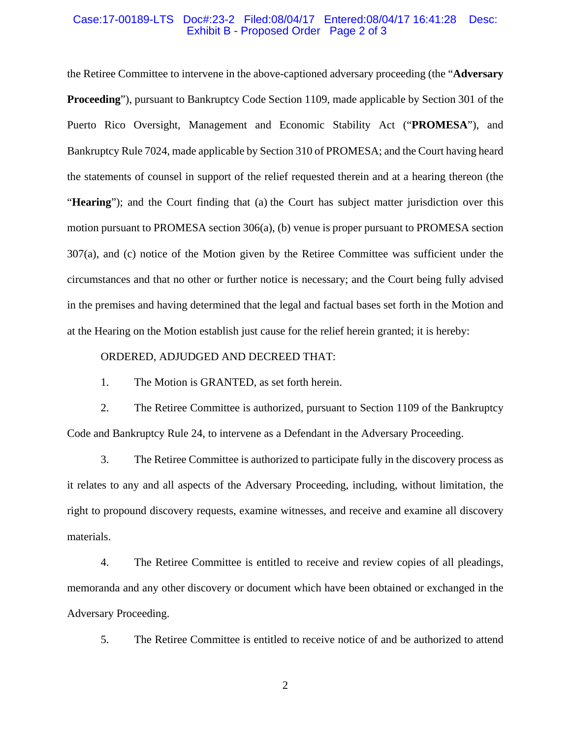#### Case:17-00189-LTS Doc#:23-2 Filed:08/04/17 Entered:08/04/17 16:41:28 Desc: Exhibit B - Proposed Order Page 2 of 3

the Retiree Committee to intervene in the above-captioned adversary proceeding (the "**Adversary Proceeding**"), pursuant to Bankruptcy Code Section 1109, made applicable by Section 301 of the Puerto Rico Oversight, Management and Economic Stability Act ("**PROMESA**"), and Bankruptcy Rule 7024, made applicable by Section 310 of PROMESA; and the Court having heard the statements of counsel in support of the relief requested therein and at a hearing thereon (the "**Hearing**"); and the Court finding that (a) the Court has subject matter jurisdiction over this motion pursuant to PROMESA section 306(a), (b) venue is proper pursuant to PROMESA section 307(a), and (c) notice of the Motion given by the Retiree Committee was sufficient under the circumstances and that no other or further notice is necessary; and the Court being fully advised in the premises and having determined that the legal and factual bases set forth in the Motion and at the Hearing on the Motion establish just cause for the relief herein granted; it is hereby:

#### ORDERED, ADJUDGED AND DECREED THAT:

1. The Motion is GRANTED, as set forth herein.

2. The Retiree Committee is authorized, pursuant to Section 1109 of the Bankruptcy Code and Bankruptcy Rule 24, to intervene as a Defendant in the Adversary Proceeding.

3. The Retiree Committee is authorized to participate fully in the discovery process as it relates to any and all aspects of the Adversary Proceeding, including, without limitation, the right to propound discovery requests, examine witnesses, and receive and examine all discovery materials.

4. The Retiree Committee is entitled to receive and review copies of all pleadings, memoranda and any other discovery or document which have been obtained or exchanged in the Adversary Proceeding.

5. The Retiree Committee is entitled to receive notice of and be authorized to attend

2